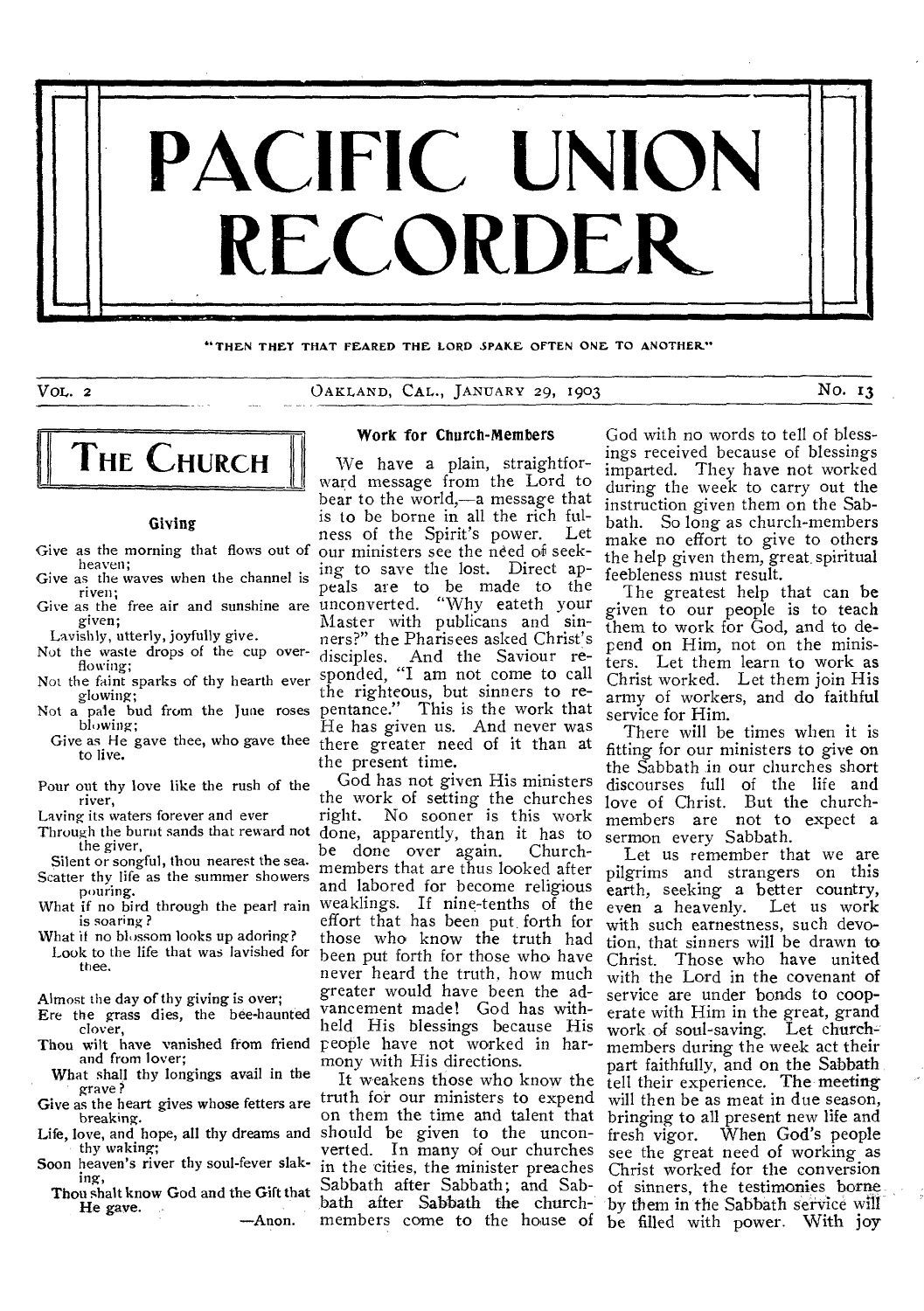

**"THEN THEY THAT FEARED THE LORD SPARE OFTEN ONE TO ANOTHER** 

VOL. 2 **OAKLAND, CAL., JANUARY 29, 1903** NO. 13



# Giving

- Give as the morning that flows out of our ministers see the need of seekheaven;<br>Give as the waves when the channel is
- Give as the waves when the channel is<br>
riven;<br>
Give as the free air and sunshine are<br>
given;
- 

Lavishly, utterly, joyfully give.

- Not the waste drops of the cup overflowing;
- Not the faint sparks of thy hearth ever glowing;
- blowing;
- to live.
- Pour out thy love like the rush of the river,
- Laving its waters forever and ever
- the giver,
- Silent or songful, thou nearest the sea. Scatter thy life as the summer showers pouring.
- is soaring ?
- What if no blossom looks up adoring? Look to the life that was lavished for thee.

Almost the day of thy giving is over;

- Ere the grass dies, the bee-haunted clover,
- Thou wilt have vanished from friend and from lover;
- What shall thy longings avail in the grave? grave ?
- breaking.
- thy waking;
- Soon heaven's river thy soul-fever slaking,
- Thou shalt know God and the Gift that He gave.

—Anon.

# Work for Church-Members

Not a pale bud from the June roses pentance." This is the work that Give as He gave thee, who gave thee there greater need of it than at We have a plain, straightforward message from the Lord to hear to the world,—a message that is to be borne in all the rich fulness of the Spirit's power. Let ing to save the lost. Direct appeals are to he made to the unconverted. "Why eateth your Master with publicans and sinners?" the Pharisees asked Christ's disciples. And the Saviour responded, "I am not come to call the righteous, but sinners to re-He has given us. And never was the present time.

Through the burnt sands that reward not done, apparently, than it has to What if no bird through the pearl rain weaklings. If nine-tenths of the God has not given His ministers the work of setting the churches right. No sooner is this work be done over again. Churchmembers that are thus looked after and labored for become religious effort that has been put forth for those who know the truth had been put forth for those who have never heard the truth, how much greater would have been the advancement made! God has withheld His blessings because His people have not worked in harmony with His directions.

grave r<br>Give as the heart gives whose fetters are truth for our ministers to expend Life, love, and hope, all thy dreams and should be given to the uncon-It weakens those who know the on them the time and talent that verted. In many of our churches in the cities, the minister preaches Sabbath after Sabbath; and Sabbath after Sabbath the churchmembers come to the house of be filled with power. With joy

God with no words to tell of blessings received because of blessings imparted. They have not worked during the week to carry out the instruction given them on the Sabbath. So long as church-members make no effort to give to others the help given them, great spiritual feebleness must result.

The greatest help that can be given to our people is to teach them to work for God, and to depend on Him, not on the ministers. Let them learn to work as Christ worked. Let them join His army of workers, and do faithful service for Him.

There will be times when it is fitting for our ministers to give on the Sabbath in our churches short discourses full of the life and love of Christ. But the churchmembers are not to expect a sermon every Sabbath.

Let us remember that we are pilgrims and strangers on this earth, seeking a better country, even a heavenly. Let us work with such earnestness, such devotion, that sinners will be drawn to Christ, Those who have united with the Lord in the covenant of service are under bonds to cooperate with Him in the great, grand work of soul-saving. Let churchmembers during the week act their part faithfully, and on the Sabbath tell their experience. The meeting will then be as meat in due season, bringing to all present new life and fresh vigor. When God's people see the great need of working as Christ worked for the conversion of sinners, the testimonies borne by them in the Sabbath service will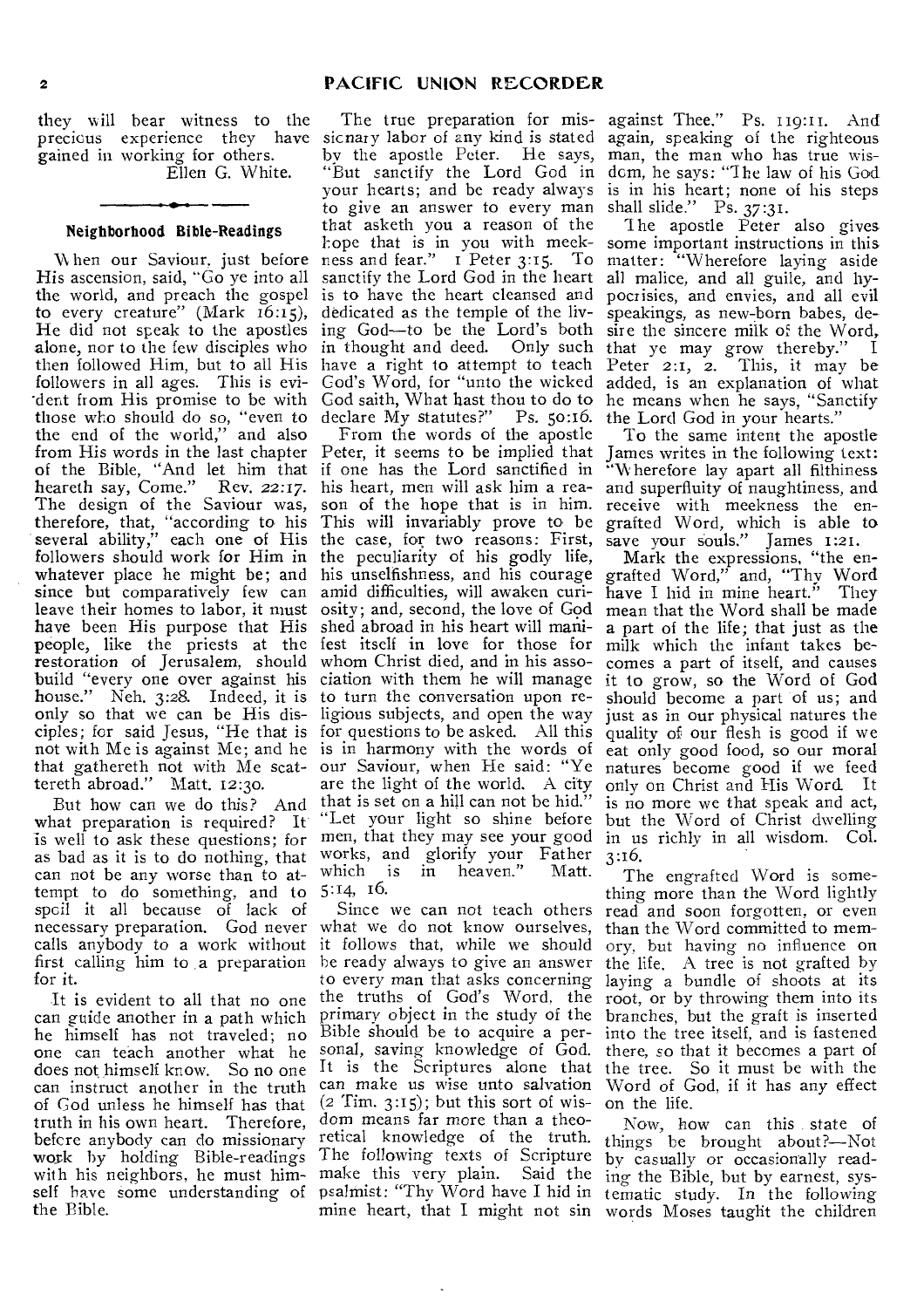they will bear witness to the gained in working for others. Ellen G. White.

#### **Neighborhood Bible-Readings**

AN hen our Saviour, just before His ascension, said, "Go ye into all the world, and preach the gospel to every creature" (Mark 16:15), He did not speak to the apostles alone, nor to the few disciples who then followed Him, but to all His followers in all ages. This is evident from His promise to be with those who should do so, "even to the end of the world," and also from His words in the last chapter of the Bible, "And let him that if one has the Lord sanctified in heareth say, Come." Rev. *22:17.*  The design of the Saviour was, son of the hope that is in him. therefore, that, "according to his several ability," each one of His followers should work for Him in whatever place he might be; and since but comparatively few can leave their homes to labor, it must have been His purpose that His people, like the priests at the restoration of Jerusalem, should build "every one over against his house." Neh. 3:28. Indeed, it is only so that we can be His disciples; for said Jesus, "He that is not with Me is against Me; and he that gathereth not with Me scattereth abroad." Matt. 12:30.

But how can we do this? And what preparation is required? It is well to ask these questions; for as bad as it is to do nothing, that can not be any worse than to attempt to do something, and to spoil it all because of lack of necessary preparation. God never what we do not know ourselves, calls anybody to a work without it follows that, while we should first calling him to a preparation he ready always to give an answer for it.

It is evident to all that no one can guide another in a path which he himself has not traveled; no one can teach another what he does not himself know. So no one can instruct another in the truth of God unless he himself has that truth in his own heart. Therefore, before anybody can do missionary work by holding Bible-readings with his neighbors, he must himself have some understanding of psalmist: "Thy Word have I hid in tematic study. In the following **the** Bible.

precious experience they have sicnary labor of any kind is stated again, speaking of the righteous The true preparation for mis-against Thee." Ps. 119:11. And by the apostle Peter. He says, "But sanctify the Lord God in your hearts; and be ready always is in his heart; none of his steps to give an answer to every man that asketh you a reason of the hope that is in you with meek-some important instructions in this ness and fear." I Peter 3:15. To matter: "Wherefore laying aside sanctify the Lord God in the heart all malice, and all guile, and hyis to have the heart cleansed and dedicated as the temple of the living God—to be the Lord's both sire the sincere milk of the Word, in thought and deed. Only such that ye may grow thereby." I have a right to attempt to teach God's Word, for "unto the wicked God saith, What hast thou to do to declare My statutes?" Ps. 50:16. the Lord God in your hearts."

From the words of the apostle Peter, it seems to be implied that if one has the Lord sanctified in his heart, men will ask him a rea-This will invariably prove to be the case, for two reasons: First, the peculiarity of his godly life, his unselfishness, and his courage amid difficulties, will awaken curiosity; and, second, the love of God shed abroad in his heart will manifest itself in love for those for whom Christ died, and in his association with them he will manage to turn the conversation upon religious subjects, and open the way for questions to be asked. All this is in harmony with the words of our Saviour, when He said: "Ye are the light of the world. A city that is set on a hill can not be hid." "Let your light so shine before men, that they may see your good works, and glorify your Father which is in heaven." Matt. 5:14, 16.

Since we can not teach others to every man that asks concerning the truths of God's Word, the primary object in the study of the Bible should be to acquire a personal, saving knowledge of God. It is the Scriptures alone that can make us wise unto salvation  $(2$  Tim.  $3:15)$ ; but this sort of wisdom means far more than a theoretical knowledge of the truth. The following texts of Scripture make this very plain. Said the

man, the man who has true wisdom, he says: "The law of his God shall slide."  $\mathrm{Ps.}\,37:31$ .

The apostle Peter also gives pocrisies, and envies, and all evil speakings, as new-born babes, de-Peter 2:1, 2. This, it may be added, is an explanation of what he means when he says, "Sanctify

To the same intent the apostle James writes in the following text: "Wherefore lay apart all filthiness and superfluity of naughtiness, and receive with meekness the engrafted Word, which is able to save your souls." James 1:21.

Mark the expressions. "the engrafted Word," and, "Thv Word have I hid in mine heart." They mean that the Word shall be made a part of the life; that just as the milk which the infant takes becomes a part of itself, and causes it to grow, so the Word of God should become a part of us; and just as in our physical natures the quality of our flesh is good if we eat only good food, so our moral natures become good if we feed only on Christ and His Word. It is no more we that speak and act, but the Word of Christ dwelling in us richly in all wisdom. Col. 3:16.

The engrafted Word is something more than the Word lightly read and soon forgotten, or even than the Word committed to memory, but having no influence on the life. A tree is not grafted by laying a bundle of shoots at its root, or by throwing them into its branches, but the graft is inserted into the tree itself, and is fastened there, so that it becomes a part of the tree. So it must be with the Word of God, if it has any effect on the life.

mine heart, that I might not sin words Moses taught the children Now, how can this state of things be brought about?—Not by casually or occasionally reading the Bible, but by earnest, sys-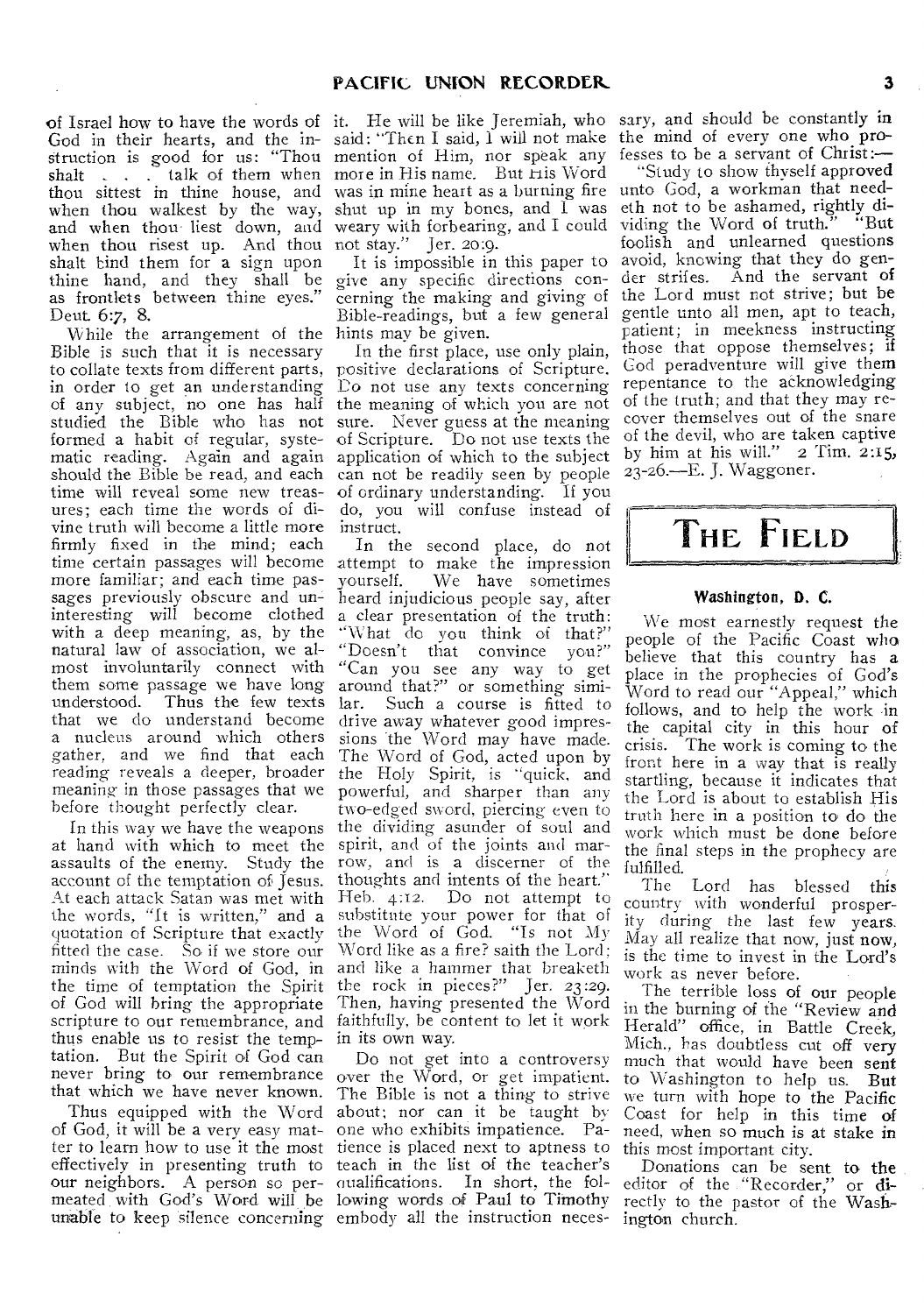God in their hearts, and the instruction is good for us: "Thou shalt . . . talk of them when thou sittest in thine house, and was in mine heart as a burning fire when thou walkest by the way, and when thou liest down, and when thou risest up. And thou not stay." Jer. 20:9. shalt hind them for a sign upon thine hand, and they shall be as frontlets between thine eyes." Dent. 6:7, 8.

While the arrangement of the hints may be given. Bible is such that it is necessary to collate texts from different parts, in order to get an understanding of any subject, no one has half studied the Bible who has not formed a habit of regular, systematic reading. Again and again application of which to the subject should the Bible be read, and each time will reveal some new treasures; each time the words of divine truth will become a little more instruct. firmly fixed in the mind; each time certain passages will become attempt to make the impression more familiar; and each time passages previously obscure and uninteresting will become clothed with a deep meaning, as, by the natural law of association, we almost involuntarily connect with "Can you see any way to get them some passage we have long around that?" or something simiunderstood. Thus the few texts lar. Such a course is fitted to that we do understand become drive away whatever good impresa nucleus around which others gather, and we find that each reading reveals a deeper, broader the Holy Spirit, is "quick, and meaning in those passages that we before thought perfectly clear.

In this way we have the weapons at hand with which to meet the assaults of the enemy. Study the account of the temptation of Jesus. At each attack Satan was met with Heb. 4:12. the words, "It is written," and a substitute your power for that of quotation of Scripture that exactly fitted the case. So if we store our minds with the Word of God, in the time of temptation the Spirit of God will bring the appropriate scripture to our remembrance, and thus enable us to resist the temptation. But the Spirit of God can never bring to our remembrance that which we have never known.

Thus equipped with the Word of God, it will be a very easy matter to learn how to use it the most tience is placed next to aptness to effectively in presenting truth to our neighbors. A person so permeated with God's Word will be unable to keep silence concerning

said: "Then I said, 1 will not make the mind of every one who promention of Him, nor speak any more in His name. But riis Word shut up in my bones, and I was weary with forbearing, and I could

It is impossible in this paper to give any specific directions concerning the making and giving of Bible-readings, but a few general

In the first place, use only plain, positive declarations of Scripture. Do not use any texts concerning the meaning of which you are not sure. Never guess at the meaning of Scripture. Do not use texts the can not be readily seen by people of ordinary understanding. If you do, you will confuse instead of

In the second place, do not yourself. We have sometimes heard injudicious people say, after a clear presentation of the truth: "What do you think of that?" "Doesn't that convince you?" sions the Word may have made. The Word of God, acted upon by powerful, and sharper than any two-edged sword, piercing even to the dividing asunder of soul and spirit, and of the joints and marrow, and is a discerner of the thoughts and intents of the heart." Do not attempt to the Word of God. "Is not My Word like as a fire? saith the Lord; and like a hammer that breaketh the rock in pieces?" Jer. 23:29. Then, having presented the Word faithfully, be content to let it work in its own way.

Do not get into a controversy over the Word, or get impatient. The Bible is not a thing to strive about; nor can it be taught by one who exhibits impatience. Pateach in the list of the teacher's oualifications. In short, the following words of Paul to Timothy embody all the instruction neces-

of Israel how to have the words of it. He will be like Jeremiah, who sary, and should be constantly in fesses to be a servant of Christ:—

"Study to show thyself approved unto God, a workman that needeth not to be ashamed, rightly dividing the Word of truth." "But foolish and unlearned questions avoid, knowing that they do gender strifes. And the servant of the Lord must not strive; but be gentle unto all men, apt to teach, patient; in meekness instructing those that oppose themselves; if God peradventure will give them repentance to the acknowledging of the truth; and that they may recover themselves out of the snare of the devil, who are taken captive by him at his will."  $2$  Tim.  $2:15$ ,  $23 - 26$ .---E. J. Waggoner.



# **Washington, D. C.**

We most earnestly request the people of the Pacific Coast who believe that this country has a place in the prophecies of God's Word to read our "Appeal," which follows, and to help the work the capital city in this hour of crisis. The work is coming to the front here in a way that is really startling, because it indicates that the Lord is about to establish His truth here in a position to do the work which must be done before the final steps in the prophecy are fulfilled.

The Lord has blessed this country with wonderful prosperity during the last few years. May all realize that now, just now, is the time to invest in the Lord's work as never before.

The terrible loss of our people in the burning of the "Review and Herald" office, in Battle Creek, Mich., has doubtless cut off very much that would have been sent to Washington to help us. But we turn with hope to the Pacific Coast for help in this time of need, when so much is at stake in this most important city.

Donations can be sent to the editor of the "Recorder," or directly to the pastor of the Washington church.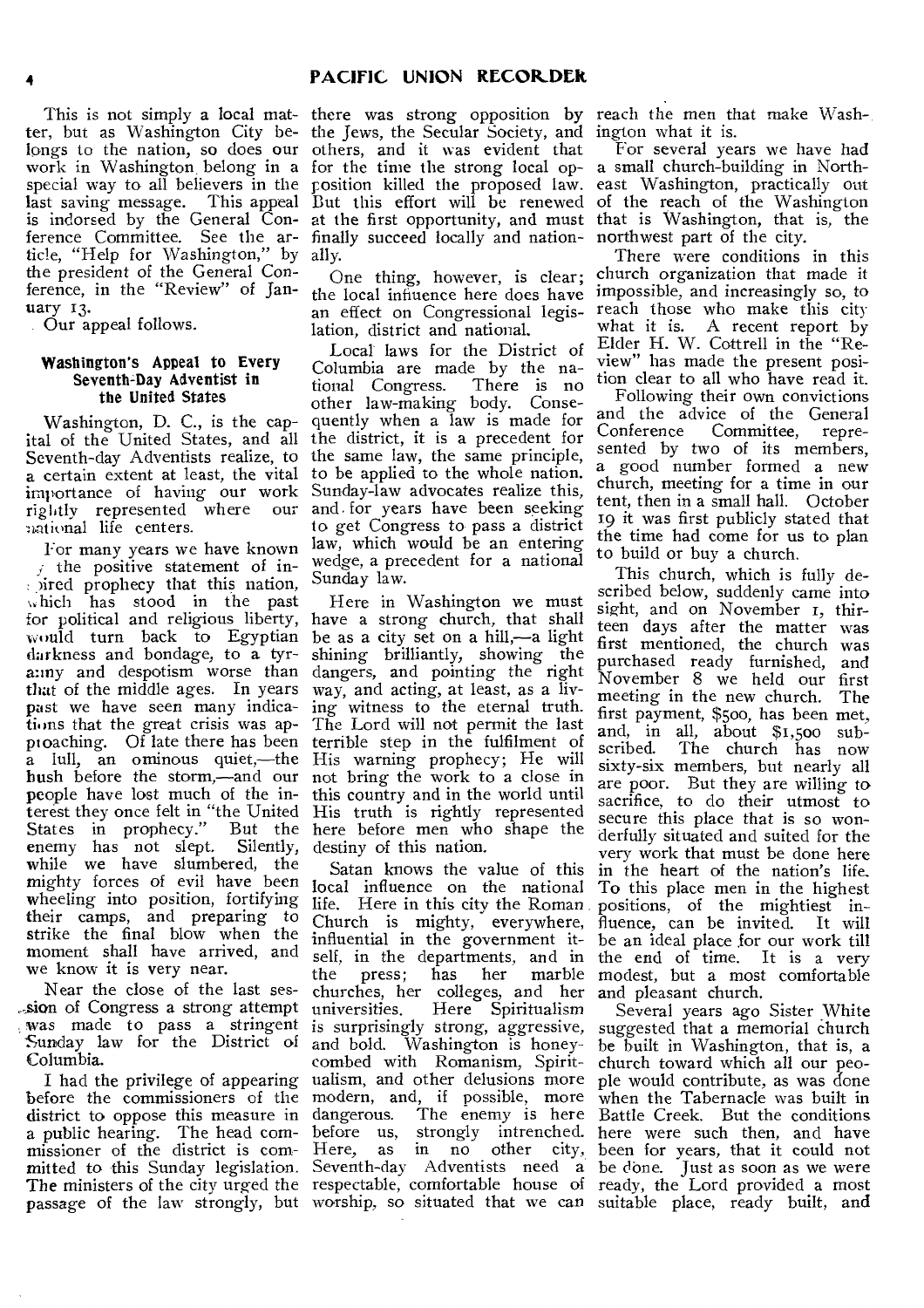ter, but as Washington City be-the Jews, the Secular Society, and ington what it is. longs to the nation, so does our others, and it was evident that work in Washington belong in a for the time the strong local opspecial way to all believers in the last saving message. This appeal is indorsed by the General Conference Committee. See the article, "Help for Washington," by the president of the General Conference, in the "Review" of January 13.

Our appeal follows.

### Washington's Appeal to Every Seventh-Day Adventist in the United States

Washington, D. C., is the capital of the United States, and all Seventh-day Adventists realize, to a certain extent at least, the vital importance of having our work rightly represented where our national life centers.

For many years we have known  $y$  the positive statement of in-)ired prophecy that this nation, hich has stood in the past for political and religious liberty, would turn back to Egyptian darkness and bondage, to a tyranny and despotism worse than that of the middle ages. In years past we have seen many indications that the great crisis was approaching. Of late there has been a lull, an ominous quiet,—the hush before the storm,—and our people have lost much of the interest they once felt in "the United States in prophecy." But the States in prophecy." But the enemy has not slept. Silently, while we have slumbered, the mighty forces of evil have been wheeling into position, fortifying their camps, and preparing to strike the final blow when the moment shall have arrived, and we know it is very near.

Near the close of the last ses sion of Congress a strong attempt was made to pass a stringent :Sunday law for the District of Columbia.

before the commissioners of the modern, and, if possible, more district to oppose this measure in a public hearing. The head commissioner of the district is com mitted to this Sunday legislation. The ministers of the city urged the

This is not simply a local mat- there was strong opposition by reach the men that make Washposition killed the proposed law. But this effort will be renewed at the first opportunity, and must finally succeed locally and nationally.

> One thing, however, is clear; the local influence here does have an effect on Congressional legislation, district and national.

> Local laws for the District of Columbia are made by the national Congress. other law-making body. Consequently when a law is made for the district, it is a precedent for the same law, the same principle, to be applied to the whole nation. Sunday-law advocates realize this, and. for years have been seeking to get Congress to pass a district law, which would be an entering wedge, a precedent for a national Sunday law.

> Here in Washington we must have a strong church, that shall be as a city set on a hill,—a light shining brilliantly, showing the dangers, and pointing the right way, and acting, at least, as a living witness to the eternal truth. The Lord will not permit the last terrible step in the fulfilment of His warning prophecy; He will not bring the work to a close in this country and in the world until His truth is rightly represented here before men who shape the destiny of this nation.

I had the privilege of appearing ualism, and other delusions more Satan knows the value of this local influence on the national life. Here in this city the Roman Church is mighty, everywhere, influential in the government itself, in the departments, and in the end of time. It is a very the press; has her churches, her colleges, and her<br>universities. Here Spiritualism Here Spiritualism is surprisingly strong, aggressive, and bold. Washington is honeycombed with Romanism, Spiritdangerous. The enemy is here Battle Creek. But the conditions before us, strongly intrenched. here were such then, and have Here, as in no other city, been for years, that it could not Seventh-day Adventists need a respectable, comfortable house of

For several years we have had a small church-building in Northeast Washington, practically out of the reach of the Washington that is Washington, that is, the northwest part of the city.

There were conditions in this church organization that made it impossible, and increasingly so, to reach those who make this city what it is. A recent report. by Elder H. W. Cottrell in the "Review" has made the present position clear to all who have read it.

Following their own convictions and the advice of the General Conference Committee, represented by two of its members, a good number formed a new church, meeting for a time in our tent, then in a small hall. October 19 it was first publicly stated that the time had come for us to plan to build or buy a church.

This church, which is fully described below, suddenly came into sight, and on November 1, thirteen days after the matter was first mentioned, the church was purchased ready furnished, and November 8 we held our first meeting in the new church. The first payment, \$soo, has been met, and, in all, about 81,5oo subscribed. The church has now sixty-six members, but nearly all are poor. But they are willing to sacrifice, to do their utmost to secure this place that is so wonderfully situated and suited for the very work that must be done here in the heart of the nation's life. To this place men in the highest positions, of the mightiest influence, can be invited. It will be an ideal place for our work till marble modest, but a most comfortable and pleasant church.

passage of the law strongly, but worship, so situated that we can suitable place, ready built, and Several years ago Sister White suggested that a memorial church be built in Washington, that is, a church toward which all our people would contribute, as was done when the Tabernacle was built in be done. Just as soon as we were ready, the Lord provided a most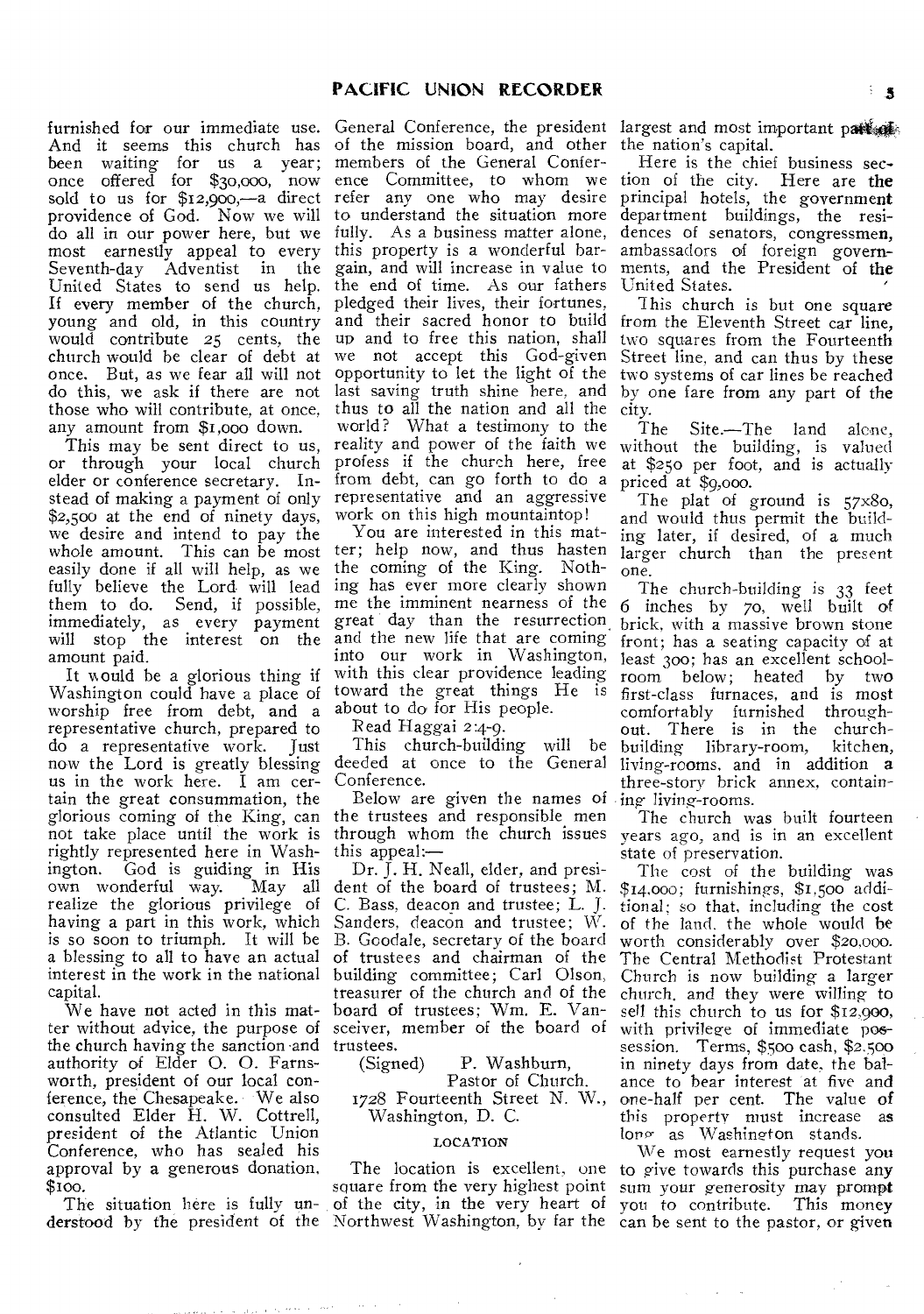And it seems this church has of the mission board, and other been waiting for us a year; members of the General Conferonce offered for \$3o,000, now ence Committee, to whom we tion of the city. Here are the sold to us for \$12,900,—a direct refer any one who may desire principal hotels, the government providence of God. Now we will to understand the situation more do all in our power here, but we fully. As a business matter alone, most earnestly appeal to every this property is a wonderful bar-Seventh-day Adventist in the gain, and will increase in value to ments, and the President of the United States to send us help. the end of time. As our fathers If every member of the church, pledged their lives, their fortunes, young and old, in this country and their sacred honor to build would contribute *25* cents, the church would be clear of debt at once. But, as we fear all will not do this, we ask if there are not those who will contribute, at once, any amount from \$1,000 down.

This may be sent direct to us, or through your local church elder or conference secretary. Instead of making a payment of only \$2,500 at the end of ninety days, we desire and intend to pay the whole amount. This can be most easily done if all will help, as we fully believe the Lord will lead them to do. Send, if possible, immediately, as every payment will stop the interest on the amount paid.

It would be a glorious thing if Washington could have a place of worship free from debt, and a representative church, prepared to do a representative work. Just now the Lord is greatly blessing us in the work here. I am certain the great consummation, the glorious coming of the King, can the trustees and responsible men not take place until the work is through whom the church issues rightly represented here in Wash-this appeal: ington. God is guiding in His own wonderful way. realize the glorious privilege of having a part in this work, which is so soon to triumph. It will be a blessing to all to have an actual interest in the work in the national capital.

We have not acted in this matter without advice, the purpose of the church having the sanction and authority of Elder 0. 0. Farnsworth, president of our local conference, the Chesapeake. We also consulted Elder H. W. Cottrell, president of the Atlantic Union Conference, who has sealed his approval by a generous donation. \$100.

and a content of the

furnished for our immediate use. General Conference, the president largest and most important parts up and to free this nation, shall we not accept this God-given opportunity to let the light of the last saving truth shine here, and thus to all the nation and all the world? What a testimony to the reality and power of the faith we profess if the church here, free from debt, can go forth to do a representative and an aggressive work on this high mountaintop!

You are interested in this matter; help now, and thus hasten the coming of the King. Nothing has ever more clearly shown me the imminent nearness of the great day than the resurrection, and the new life that are coming' into our work in Washington, with this clear providence leading toward the great things He is about to do for His people.

Read Haggai 2:4-9.

This church-building will be deeded at once to the General Conference.

Below are given the names of ing living-rooms.

Dr. J. H. Neall, elder, and president of the board of trustees; M. C. Bass, deacon and trustee; L. J. Sanders, deacon and trustee; W. B. Goodale, secretary of the board of trustees and chairman of the building committee; Carl Olson, treasurer of the church and of the board of trustees; Wm. E. Vansceiver, member of the board of trustees.<br>(Signed)

P. Washburn,

Pastor of Church. 1728 Fourteenth Street N. W., Washington, D. C.

#### LOCATION

The situation here is fully un-of the city, in the very heart of square from the very highest point

the nation's capital.

Here is the chief business secdepartment buildings, the residences of senators, congressmen, ambassadors of foreign govern-United States.

This church is but one square from the Eleventh Street car line. two squares from the Fourteenth Street line, and can thus by these two systems of car lines be reached by one fare from any part of the city.

The Site.—The land alone, without the building, is valued at \$25o per foot, and is actually priced at \$9,000.

The plat of ground is 57x8o, and would thus permit the building later, if desired, of a much larger church than the present one.

The church-building is 33 feet 6 inches by 70, well built of brick, with a massive brown stone front; has a seating capacity of at least 300; has an excellent schoolroom below; heated by two first-class furnaces, and is most comfortably furnished throughout. There is in the churchbuilding library-room, kitchen, living-rooms, and in addition a three-story brick annex, contain-

The church was built fourteen years ago, and is in an excellent state of preservation.

The cost of the building was \$14,000; furnishings, \$1,500 additional; so that, including the cost of the land, the whole would be worth considerably over \$20,000. The Central Methodist Protestant Church is now building a larger church, and they were willing to sell this church to us for \$12,9oo, with privilege of immediate possession. Terms, \$soo cash, \$2.5oo in ninety days from date, the balance to hear interest at five and one-half per cent. The value of this property must increase as long as Washington stands.

derstood by the president of the Northwest Washington, by far the can be sent to the pastor, or given The location is excellent, one to give towards this purchase any We most earnestly request you sum your generosity may prompt you to contribute. This money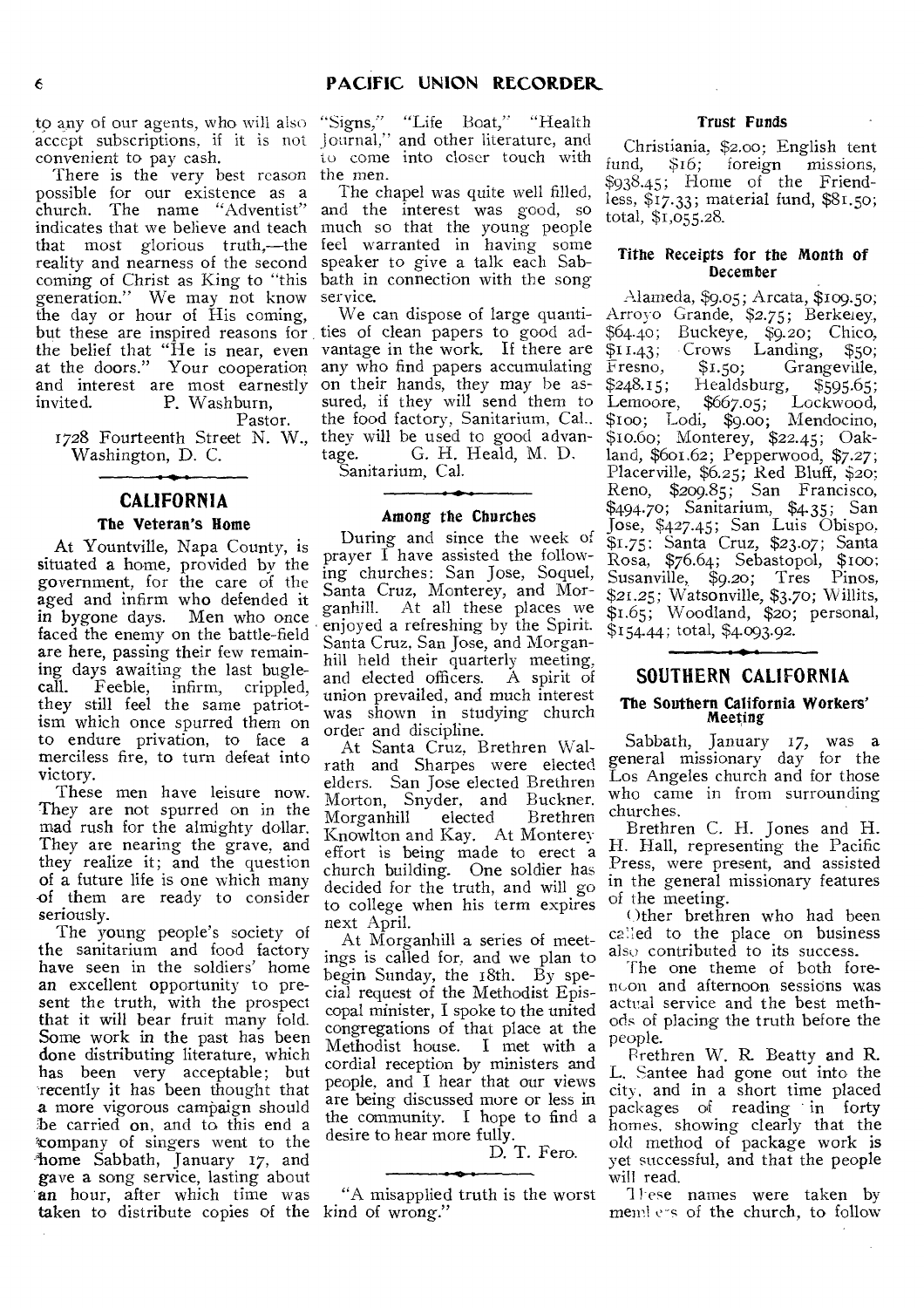to any of our agents, who will also accept subscriptions, if it is not convenient to pay cash.

There is the very best reason possible for our existence as a church. The name "Adventist" indicates that we believe and teach that most glorious truth,-the reality and nearness of the second coming of Christ as King to "this generation." We may not know the day or hour of His coming, but these are inspired reasons for the belief that "He is near, even at the doors." Your cooperation and interest are most earnestly invited. P. Washburn,

Pastor.

1728 Fourteenth Street N. W., Washington, D. C.

# **CALIFORNIA**

# The Veteran's Home

At Yountville, Napa County, is situated a home, provided by the government, for the care of the aged and infirm who defended it in bygone days. Men who once faced the enemy on the battle-field are here, passing their few remaining days awaiting the last bugle-<br>call. Feeble, infirm, crippled, Feeble, infirm, crippled, they still feel the same patriotism which once spurred them on to endure privation, to face a merciless fire, to turn defeat into victory.

These men have leisure now. They are not spurred on in the mad rush for the almighty dollar. They are nearing the grave, and they realize it; and the question of a future life is one which many of them are ready to consider seriously.

The young people's society of the sanitarium and food factory have seen in the soldiers' home an excellent opportunity to present the truth, with the prospect that it will bear fruit many fold. Some work in the past has been done distributing literature, which has been very acceptable; but recently it has been thought that a more vigorous campaign should be carried on, and to this end a company of singers went to the home Sabbath, January 17, and gave a song service, lasting about an hour, after which time was taken to distribute copies of the kind of wrong."

"Signs," "Life Boat," "Health journal," and other literature, and to come into closer touch with the men.

The chapel was quite well filled, and the interest was good, so much so that the young people feel warranted in having some speaker to give a talk each Sabbath in connection with the song service.

We can dispose of large quantities of clean papers to good advantage in the work. If there are any who find papers accumulating on their hands, they may be assured, if they will send them to the food factory, Sanitarium, Cal.. they will be used to good advantage. G. H. Heald, M. D.

Sanitarium, Cal.

# Among the Churches

During and since the week of prayer  $\overline{I}$  have assisted the following churches: San Jose, Soquel, Santa Cruz, Monterey, and Morganhill. At all these places we enjoyed a refreshing by the Spirit. Santa Cruz, San Jose, and Morganhill held their quarterly meeting, and elected officers. A spirit of union prevailed, and much interest was shown in studying church order and discipline.

At Santa Cruz. Brethren Walrath and Sharpes were elected elders. San Jose elected Brethren Morton, Snyder, and Buckner.<br>Morganhill elected Brethren Morganhill Knowlton and Kay. At Monterey effort is being made to erect a church building. One soldier has decided for the truth, and will go to college when his term expires next April.

At Morganhill a series of meetings is called for, and we plan to begin Sunday, the i8th. By special request of the Methodist Episcopal minister, I spoke to the united congregations of that place at the Methodist house. I met with a cordial reception by ministers and people, and I hear that our views are being discussed more or less in the community. I hope to find a desire to hear more fully.

D. T. Fero.

"A misapplied truth is the worst

#### Trust Funds

Christiania, \$2.00; English tent<br>fund, \$16; foreign missions, \$16; foreign missions,  $$938.45$ ; Home of the Friendless, \$17.33; material fund, \$81.50; total, \$1,055.28.

#### Tithe Receipts for the Month of December

Alameda, \$9.05; Arcata, \$109.50; Arroyo Grande, \$2.75; Berkeley, \$64.40; Buckeye, \$9.20; Chico,  $$11.43$ ; Crows Landing, \$50; Fresno, \$1.50; Grangeville, \$248.15; Healdsburg, \$595.65; Lemoore, \$667.05; Lockwood, \$100; Lodi, \$9.00; Mendocino, \$10.60; Monterey, \$22.45; Oakland, \$601.62; Pepperwood, \$7.27; Placerville, \$6.25; Red Bluff, \$20; Reno, \$209.85; San Francisco, \$494.70; Sanitarium, \$4.35; San Jose, \$427.45; San Luis Obispo, \$1.75; Santa Cruz, \$23.07; Santa Rosa, \$76.64; Sebastopol, \$100; Susanville, \$9.20; Tres Pinos, \$21.25; Watsonville, \$3.70; Willits, \$1.65; Woodland, \$20; personal,  $$154.44$ ; total,  $$4.093.92$ .

# **SOUTHERN CALIFORNIA**

#### The Southern California Workers' Meeting

Sabbath, January 17, was a general missionary day for the Los Angeles church and for those who came in from surrounding churches.

Brethren C. H. Jones and H. H. Hall, representing the Pacific Press, were present, and assisted in the general missionary features of the meeting.

Other brethren who had been called to the place on business also contributed to its success.

The one theme of both forenoon and afternoon sessions was actual service and the best methods of placing the truth before the people.

Brethren W. R Beatty and R. L. Santee had gone out into the city, and in a short time placed packages of reading in forty homes, showing clearly that the old method of package work is yet successful, and that the people will read.

1 rese names were taken by members of the church, to follow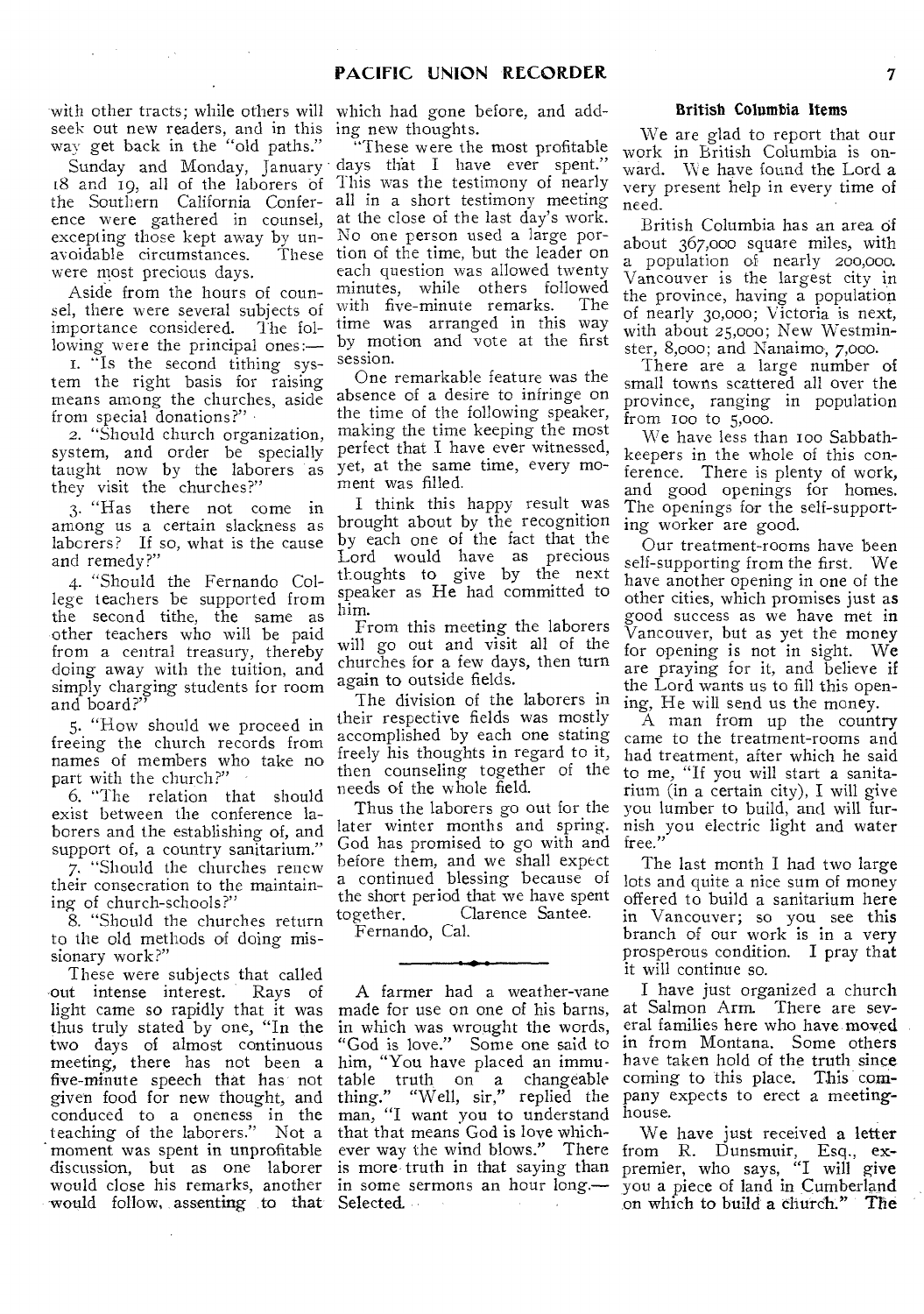with other tracts; while others will which had gone before, and addseek out new readers, and in this way get back in the "old paths."

and the company of the state

ence were gathered in counsel, excepting those kept away by unavoidable circumstances. were most precious days.

sel, there were several subjects of with five-minute remarks. The importance considered. The following were the principal ones:—

I. "Is the second tithing system the right basis for raising means among the churches, aside from special donations?" •

2. "Should church organization, system, and order be specially taught now by the laborers as yet, at the same time, every mothey visit the churches?"

3. "Has there not come in among us a certain slackness as laborers? If so, what is the cause and remedy?"

4. "Should the Fernando College teachers be supported from the second tithe, the same as other teachers who will be paid from a central treasury, thereby doing away with the tuition, and simply charging students for room and board?"

5. "How should we proceed in freeing the church records from names of members who take no part with the church?"

6. "The relation that should exist between the conference laborers and the establishing of, and support of, a country sanitarium."

7. "Should the churches renew their consecration to the maintaining of church-schools?"

8. "Should the churches return to the old methods of doing missionary work?'

These were subjects that called out intense interest. Rays of light came so rapidly that it was thus truly stated by one, "In the two days of almost continuous meeting, there has not been a five-minute speech that has not given food for new thought, and conduced to a oneness in the teaching of the laborers." Not a moment was spent in unprofitable discussion, but as one laborer would close his remarks, another would follow, assenting to that Selected.

ing new thoughts.

Sunday and Monday, January days that I have ever spent." i8 and 19, all of the laborers of This was the testimony of nearly the Southern California Confer-all in a short testimony meeting Aside from the hours of coun- minutes, while others followed "These were the most profitable at the close of the last day's work. No one person used a large por-These tion of the time, but the leader on each question was allowed twenty time was arranged in this way by motion and vote at the first session.

> One remarkable feature was the absence of a desire to infringe on the time of the following speaker, making the time keeping the most perfect that I have ever witnessed, ment was filled.

> I think this happy result was brought about by the recognition by each one of the fact that the Lord would have as precious thoughts to give by the next speaker as He had committed to him.

> From this meeting the laborers will go out and visit all of the churches for a few days, then turn again to outside fields.

> The division of the laborers in their respective fields was mostly accomplished by each one stating freely his thoughts in regard to it, then counseling together of the needs of the whole field.

Thus the laborers go out for the later winter months and spring. God has promised to go with and before them, and we shall expect a continued blessing because of the short period that we have spent together. Clarence Santee.

Fernando, Cal.

A farmer had a weather-vane made for use on one of his barns, in which was wrought the words, "God is love." Some one said to him, "You have placed an immutable truth on a changeable thing." "Well, sir," replied the man, "I want you to understand that that means God is love whichever way the wind blows." There is more truth in that saying than in some sermons an hour long.—

#### Britisb Columbia Items

We are glad to report that our work in British Columbia is onward. We have found the Lord a very present help in every time of need.

British Columbia has an area of about 367,000 square miles, with a population of nearly 200,000. Vancouver is the largest city in the province, having a population of nearly 3o,000; Victoria is next, with about 25,000; New Westminster, 8,000; and Nanaimo, 7,000.

There are a large number of small towns scattered all over the province, ranging in population from ioo to 5,000.

We have less than ioo Sabbathkeepers in the whole of this conference. There is plenty of work, and good openings for homes. The openings for the self-supporting worker are good.

Our treatment-rooms have been self-supporting from the first. We have another opening in one of the other cities, which promises just as good success as we have met in Vancouver, but as yet the money for opening is not in sight. We are praying for it, and believe if the Lord wants us to fill this opening, He will send us the money.

A man from up the country came to the treatment-rooms and had treatment, after which he said to me, "If you will start a sanitarium (in a certain city), I will give you lumber to build, and will furnish you electric light and water free."

The last month I had two large lots and quite a nice sum of money offered to build a sanitarium here in Vancouver; so you see this branch of our work is in a very prosperous condition. I pray that it will continue so.

I have just organized a church at Salmon Arm. There are several families here who have moved in from Montana. Some others have taken hold of the truth since coming to this place. This company expects to erect a meetinghouse.

We have just received a letter from R. Dunsmuir, Esq., expremier, who says, "I will give you a piece of land in Cumberland on which to build a church." The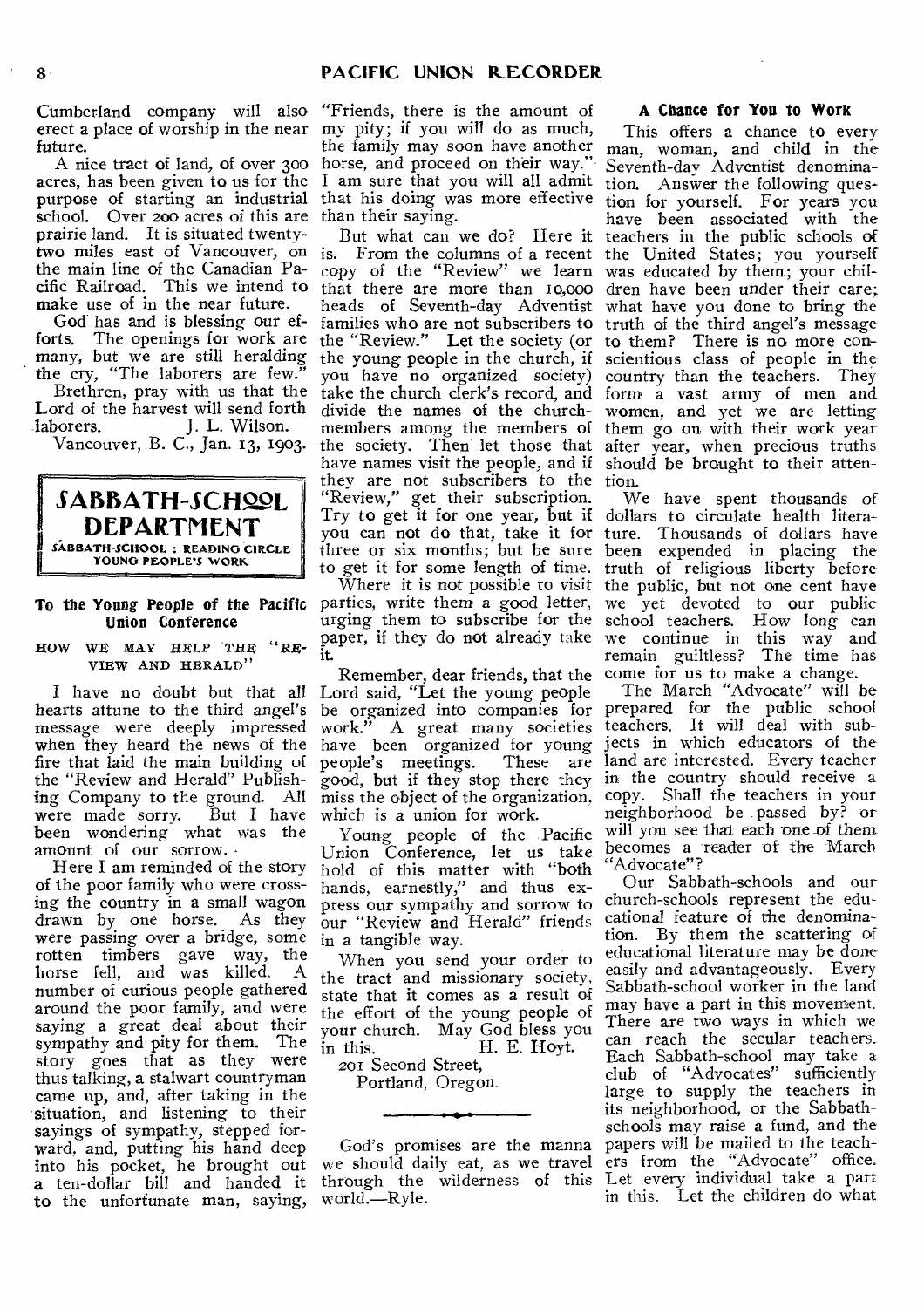erect a place of worship in the near my pity; if you will do as much, future.

acres, has been given to us for the purpose of starting an industrial school. Over 200 acres of this are than their saying. prairie land. It is situated twentytwo miles east of Vancouver, on the main line of the Canadian Pacific Railroad. This we intend to make use of in the near future.

God has and is blessing our efforts. The openings for work are *many,* but we are still heralding the cry, "The laborers are few."

Brethren, pray with us that the Lord of the harvest will send forth<br>laborers. [. L. Wilson.] laborers. J. L. Wilson.

Vancouver, B. C., Jan. 13, 1903.



# **Union Conference**

HOW WE MAY HELP THE **"RE-VIEW** AND HERALD"

hearts attune to the third angel's message were deeply impressed when they heard the news of the fire that laid the main building of the "Review and Herald" Publishing Company to the ground. All were made sorry. But I have been wondering what was the amount of our sorrow.

Here I am reminded of the story of the poor family who were crossing the country in a small wagon drawn by one horse. As they were passing over a bridge, some rotten timbers gave way, the horse fell, and was killed. A number of curious people gathered around the poor family, and were saying a great deal about their sympathy and pity for them. The story goes that as they were thus talking, a stalwart countryman came up, and, after taking in the situation, and listening to their sayings of sympathy, stepped forward, and, putting his hand deep into his pocket, he brought out **a** ten-dollar bill and handed it to the unfortunate man, saying,

Cumberland company will also "Friends, there is the amount of A nice tract of land, of over 300 horse, and proceed on their way." the family may soon have another I am sure that you will all admit that his doing was more effective

> is. From the columns of a recent copy of the "Review" we learn that there are more than io,000 heads of Seventh-day Adventist families who are not subscribers to the "Review." Let the society (or the young people in the church, if you have no organized society) take the church clerk's record, and divide the names of the churchmembers among the members of the society. Then let those that have names visit the people, and if they are not subscribers to the "Review," get their subscription. Try to get it for one year, but if dollars to circulate health literayou can not do that, take it for three or six months; but be sure to get it for some length of time.

**To the Young People of the Pacific**  parties, write them a good letter, Where it is not possible to visit urging them to subscribe for the paper, if they do not already take it.

I have no doubt but that all Lord said, "Let the young people Remember, dear friends, that the Lord said, "Let the young people be organized into companies for work." A great many societies have been organized for young<br>people's meetings. These are people's meetings. good, but if they stop there they in the country should receive a miss the object of the organization, which is a union for work.

> Young people of the Pacific Union Conference, let us take hold of this matter with "both hands, earnestly," and thus express our sympathy and sorrow to our "Review and Herald" friends in a tangible way.

> When you send your order to the tract and missionary society, state that it comes as a result of the effort of the young people of your church. May God bless you in this. H. E. Hoyt.

201 Second Street, Portland, Oregon.

God's promises are the manna we should daily eat, as we travel through the wilderness of this world.—Ryle.

# **A Chance for You to Work**

But what can we do? Here it teachers in the public schools of This offers a chance to every man, woman, and child in the Seventh-day Adventist denomination. Answer the following question for yourself. For years you have been associated with the the United States; you yourself was educated by them; your children have been under their care; what have you done to bring the truth of the third angel's message to them? There is no more conscientious class of people in the country than the teachers. They form a vast army of men and women, and yet we are letting them go on with their work year after year, when precious truths should be brought to their attention.

We have spent thousands of ture. Thousands of dollars have been expended in placing the truth of religious liberty before the public, but not one cent have we yet devoted to our public school teachers. How long can we continue in this way and remain guiltless? The time has come for us to make a change.

The March "Advocate" will be prepared for the public school teachers. It will deal with subjects in which educators of the land are interested. Every teacher copy. Shall the teachers in your neighborhood be passed by? or will you see that each one of them becomes a reader of the March "Advocate"?

Our Sabbath-schools and our church-schools represent the educational feature of the denomination. By them the scattering of educational literature may be done easily and advantageously. Every Sabbath-school worker in the land may have a part in this movement. There are two ways in which we can reach the secular teachers. Each Sabbath-school may take a club of "Advocates" sufficiently large to supply the teachers in its neighborhood, or the Sabbathschools may raise a fund, and the papers will be mailed to the teachers from the "Advocate" office. Let every individual take a part in this. Let the children do what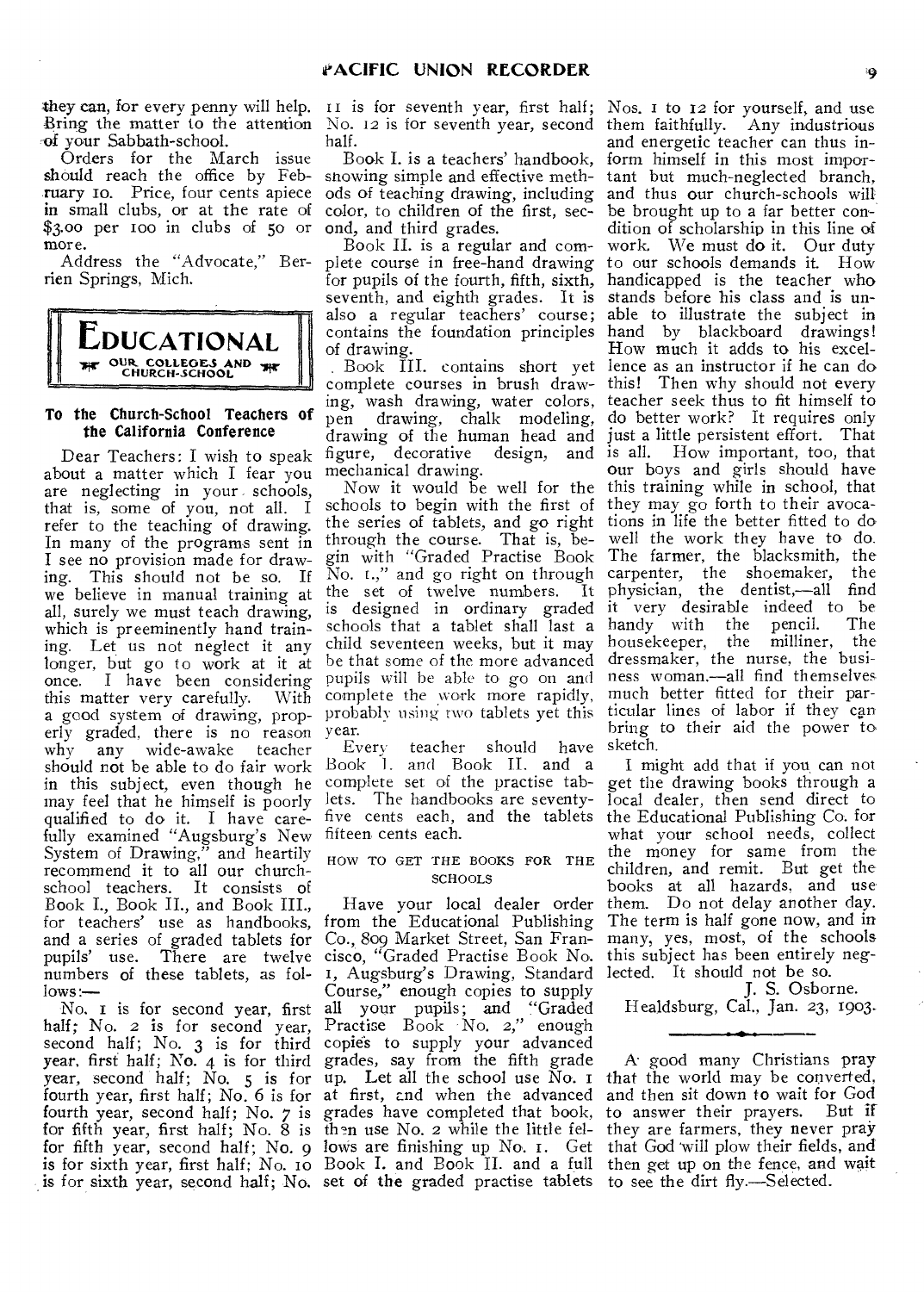Bring the matter to the attention No. 12 is for seventh year, second of your Sabbath-school.

Orders for the March issue should reach the office by February Io. Price, four cents apiece in small clubs, or at the rate of \$3.00 per ioo in clubs of 50 or more.

Address the "Advocate," Berrien Springs, Mich.



# To the Church-School Teachers of **the California Conference**

about a matter which I fear you are neglecting in your schools, that is, some of you, not all. I refer to the teaching of drawing. In many of the programs sent in I see no provision made for drawing. This should not be so. If we believe in manual training at all, surely we must teach drawing, which is preeminently hand training. Let us not neglect it any longer, but go to work at it at once. I have been considering<br>this matter very carefully. With this matter very carefully. a good system of drawing, properly graded, there is no reason year. why any wide-awake teacher should not be able to do fair work in this subject, even though he may feel that he himself is poorly qualified to do it. I have carefully examined "Augsburg's New System of Drawing," and heartily recommend it to all our churchschool teachers. It consists of Book I., Book II., and Book III., for teachers' use as handbooks, and a series of graded tablets for<br>pupils' use. There are twelve There are twelve numbers of these tablets, as follows:—

half; No. 2 is for second year, second half; No. 3 is for third year, first half; No. 4 is for third year, second half; No. 5 is for fourth year, first half; No. 6 is for fourth year, second half; No. 7 is for fifth year, first half; No. 8 is for fifth year, second half; No. 9 is for sixth year, first half; No. io is for sixth year, second half; No. set of the graded practise tablets

they can, for every penny will help. 11 is for seventh year, first half; Nos. I to 12 for yourself, and use half.

> Book I. is a teachers' handbook, snowing simple and effective methods of teaching drawing, including color, to children of the first, second, and third grades.

Book II. is a regular and complete course in free-hand drawing to our schools demands it. How for pupils of the fourth, fifth, sixth, seventh, and eighth grades. It is also a regular teachers' course; able to illustrate the subject in contains the foundation principles hand by blackboard drawings! of drawing.

Dear Teachers: I wish to speak figure, decorative design, and complete courses in brush drawing, wash drawing, water colors,<br>pen drawing, chalk modeling, drawing, chalk modeling, drawing of the human head and just a little persistent effort. That mechanical drawing.

> schools to begin with the first of the series of tablets, and go right through the course. That is, begin with "Graded Practise Book The farmer, the blacksmith, the No. t.," and go right on through the set of twelve numbers. It is designed in ordinary graded it very desirable indeed to be schools that a tablet shall last a child seventeen weeks, but it may be that some of the more advanced pupils will he able to go on and complete the work more rapidly, probably using two tablets yet this

Every teacher should have Book 1. and Book II. and a complete set of the practise tablets. The handbooks are seventyfive cents each, and the tablets fifteen cents each.

# HOW TO GET THE BOOKS FOR THE SCHOOLS

No. I is for second year, first all your pupils; and "Graded Have your local dealer order from the Educational Publishing Co., 809 Market Street, San Francisco, "Graded Practise Book No. 1, Augsburg's Drawing, Standard Course," enough copies to supply Practise Book No. 2," enough copies to supply your advanced grades, say from the fifth grade up. Let all the school use No. at first, and when the advanced grades have completed that book,  $t$ h $\cdot$ n use No. 2 while the little fellows are finishing up No. I. Get Book I. and Book II. and a full

Book III. contains short yet lence as an instructor if he can do Now it would be well for the this training while in school, that them faithfully. Any industrious and energetic teacher can thus inform himself in this most important but much-neglected branch, and thus our church-schools will be brought up to a far better con dition of scholarship in this line of work. We must do it. Our duty handicapped is the teacher who stands before his class and is un-How much it adds to his excelthis! Then why should not every teacher seek thus to fit himself to do better work? It requires only is all. How important, too, that our boys and girls should have they may go forth to their avocations in life the better fitted to do well the work they have to do. carpenter, the shoemaker, the physician, the dentist,—all find handy with the pencil. The housekeeper, the milliner, the dressmaker, the nurse, the business woman,—all find themselves much better fitted for their particular lines of labor if they can bring to their aid the power to sketch.

> I might add that if you, can not get the drawing books through a local dealer, then send direct to the Educational Publishing Co. for what your school needs, collect the money for same from the children, and remit. But get the books at all hazards. and use them. Do not delay another day. The term is half gone now, and in many, yes, most, of the schools this subject has been entirely neglected. It should not be so.

J. S. Osborne. Healdsburg, Cal., Jan. 23, 1903.

A. good many Christians pray that the world may be converted, and then sit down to wait for God to answer their prayers. But **if**  they are farmers, they never pray that God 'will plow their fields, and then get up on the fence, and wait to see the dirt fly.—Selected.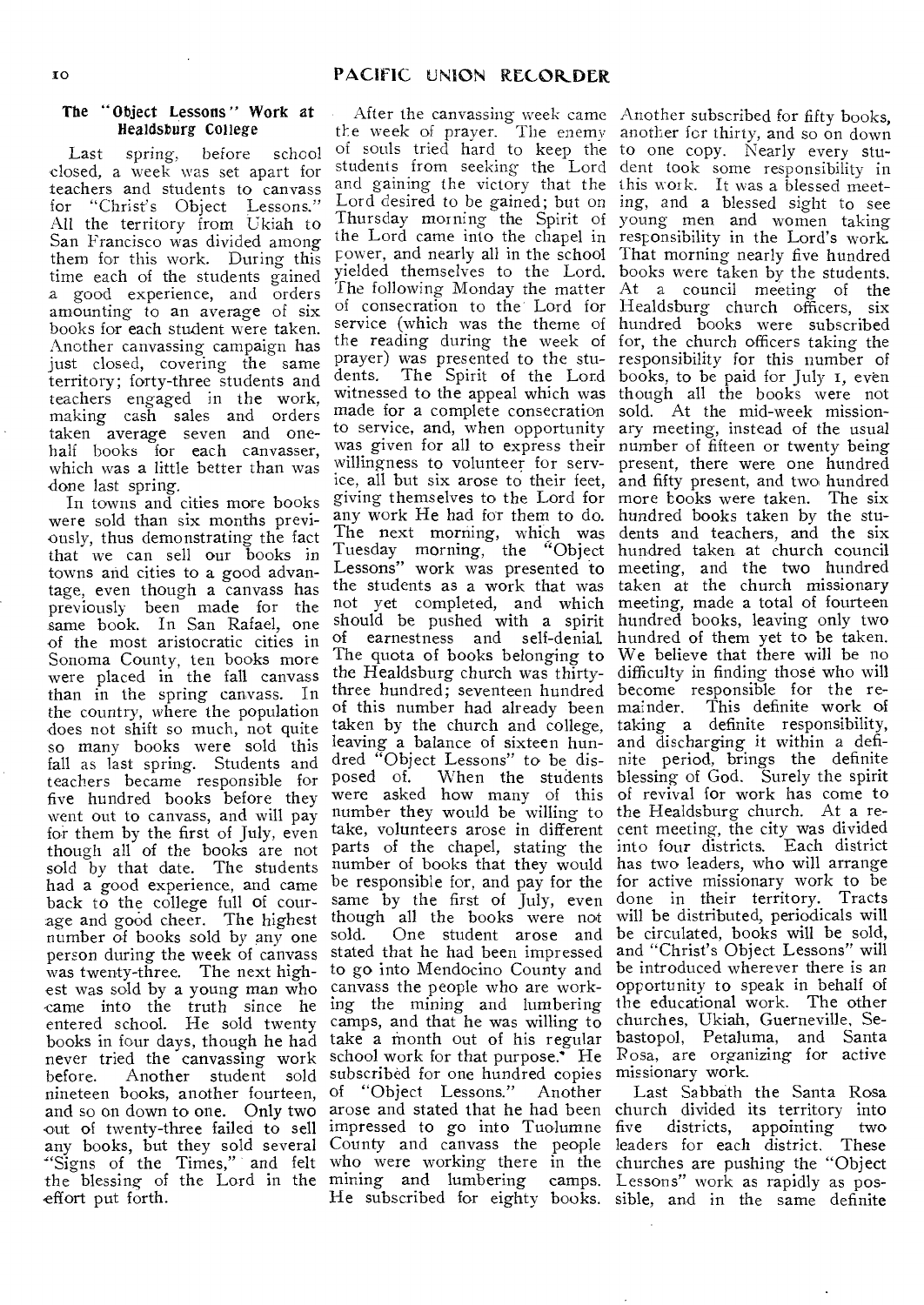#### The "Object Lessons" Work at Healdsburg College

Last spring, before school closed, a week was set apart for teachers and students to canvass for "Christ's Object Lessons." All the territory from Ukiah to San Francisco was divided among them for this work. During this time each of the students gained a good experience, and orders amounting to an average of six books for each student were taken. Another canvassing campaign has just closed, covering the same territory; forty-three students and teachers engaged in the work, making cash sales and orders taken average seven and onehalf books for each canvasser, which was a little better than was done last spring.

In towns and cities more books were sold than six months previously, thus demonstrating the fact that we can sell our books in towns and cities to a good advantage, even though a canvass has previously been made for the same book. In San Rafael, one of the most aristocratic cities in Sonoma County, ten books more were placed in the fall canvass than in the spring canvass. In the country, where the population does not shift so much, not quite so many books were sold this fall as last spring. Students and teachers became responsible for five hundred books before they went out to canvass, and will pay for them by the first of July, even though all of the books are not sold by that date. The students had a good experience, and came back to the college full of courage and good cheer. The highest number of books sold by any one person during the week of canvass was twenty-three. The next highest was sold by a young man who came into the truth since he entered school. He sold twenty books in four days, though he had never tried the canvassing work before. Another student sold nineteen books, another fourteen, and so on down to one. Only two out of twenty-three failed to sell any books, but they sold several "Signs of the Times," and felt who were working there in the churches are pushing the "Object the blessing of the Lord in the mining and lumbering camps. Lessons" work as rapidly as pos-.effort put forth.

After the canvassing week came the week of prayer. The enemy of souls tried hard to keep the students from seeking the Lord dent took some responsibility in and gaining the victory that the this work. It was a blessed meet-Lord desired to be gained; but on ing, and a blessed sight to see Thursday morning the Spirit of the Lord came into the chapel in power, and nearly all in the school yielded themselves to the Lord. The following Monday the matter of consecration to the Lord for Healdsburg church officers, six service (which was the theme of the reading during the week of for, the church officers taking the prayer) was presented to the stu-<br>dents. The Spirit of the Lord The Spirit of the Lord witnessed to the appeal which was made for a complete consecration to service, and, when opportunity was given for all to express their willingness to volunteer for service, all but six arose to their feet, giving themselves to the Lord for more hooks were taken. The six any work He had for them to do. The next morning, which was Tuesday morning, the "Object Lessons" work was presented to the students as a work that was not yet completed, and which should be pushed with a spirit of earnestness and self-denial. The quota of books belonging to the Healdsburg church was thirtythree hundred; seventeen hundred of this number had already been taken by the church and college, leaving a balance of sixteen hundred "Object Lessons" to be disposed of. When the students were asked how many of this number they would be willing to take, volunteers arose in different parts of the chapel, stating the number of books that they would be responsible for, and pay for the same by the first of July, even though all the books were not<br>sold. One student arose and One student arose and stated that he had been impressed to go into Mendocino County and canvass the people who are working the mining and lumbering camps, and that he was willing to take a month out of his regular school work for that purpose.' He subscribed for one hundred copies<br>of "Object Lessons." Another "Object Lessons." arose and stated that he had been impressed to go into Tuolumne County and canvass the people

Another subscribed for fifty books, another for thirty, and so on down to one copy. Nearly every stuyoung men and women taking responsibility in the Lord's work. That morning nearly five hundred books were taken by the students. At a council meeting of the hundred books were subscribed responsibility for this number of books, to be paid for July 1, even though all the books were not sold. At the mid-week missionary meeting, instead of the usual number of fifteen or twenty being present, there were one hundred and fifty present, and two hundred hundred books taken by the students and teachers, and the six hundred taken at church council meeting, and the two hundred taken at the church missionary meeting, made a total of fourteen hundred books, leaving only two hundred of them yet to be taken. We believe that there will be no difficulty in finding those who will become responsible for the remainder. This definite work of taking a definite responsibility, and discharging it within a definite period, brings the definite blessing of God. Surely the spirit of revival for work has come to the Healdsburg church. At a recent meeting, the city was divided into four districts. Each district has two leaders, who will arrange for active missionary work to be done in their territory. Tracts will be distributed, periodicals will be circulated, books will be sold, and "Christ's Object Lessons" will be introduced wherever there is an opportunity to speak in behalf of the educational work. The other churches, Ukiah, Guerneville, Sebastopol, Petaluma, and Santa Rosa, are organizing for active missionary work.

He subscribed for eighty books. sible, and in the same definite Last Sabbath the Santa Rosa church divided its territory into five districts, appointing two leaders for each district. These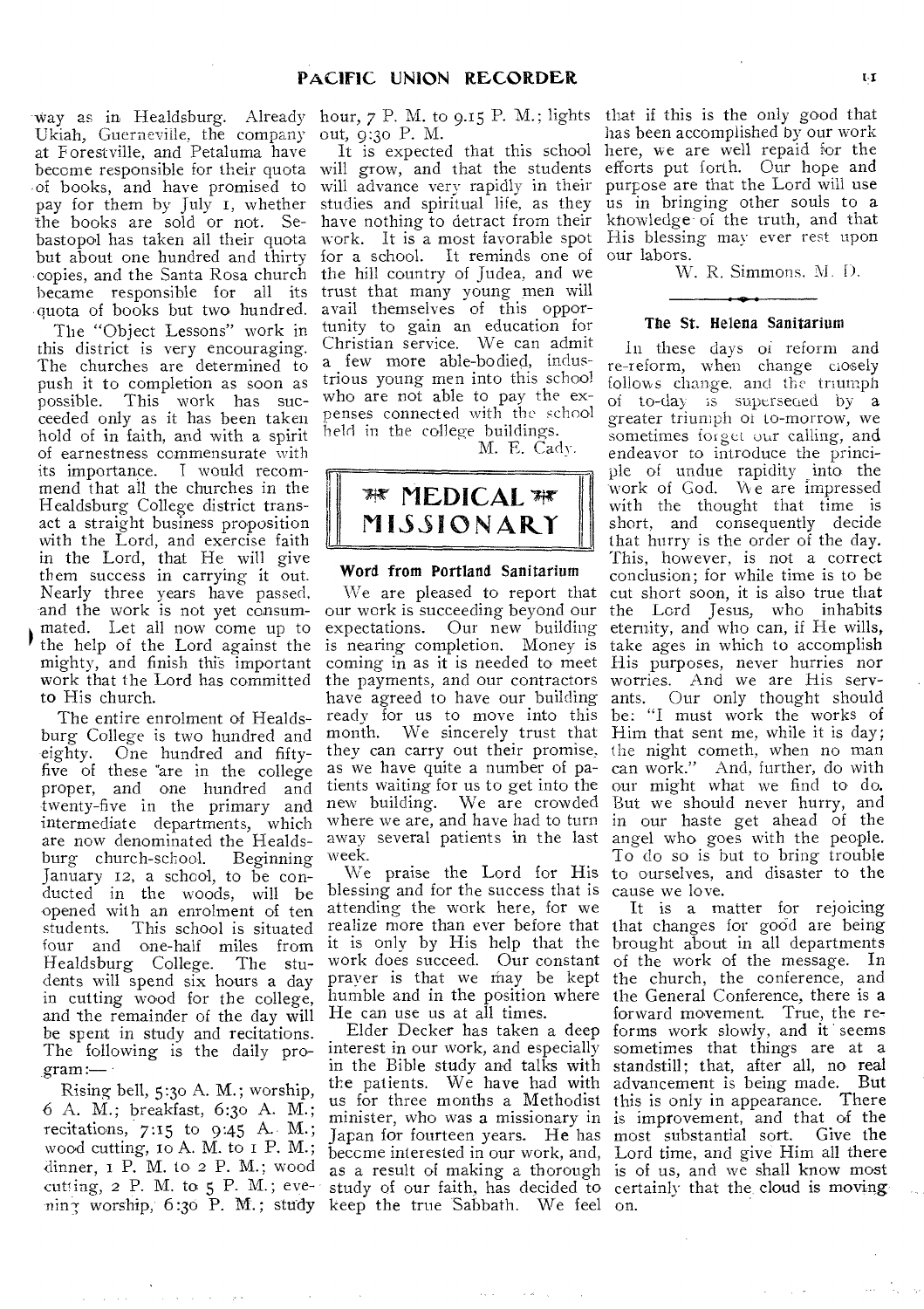Ukiah, Guerneville, the company at Forestville, and Petaluma have become responsible for their quota of books, and have promised to pay for them by July 1, whether the books are sold or not. Sebastopol has taken all their quota but about one hundred and thirty copies, and the Santa Rosa church the hill country of Judea, and we became responsible for all its quota of books but two hundred.

The "Object Lessons" work in this district is very encouraging. The churches are determined to push it to completion as soon as<br>possible. This work has suc-This work has succeeded only as it has been taken hold of in faith, and with a spirit of earnestness commensurate with its importance. I would recommend that all the churches in the Healdsburg College district transact a straight business proposition with the Lord, and exercise faith in the Lord, that He will give them success in carrying it out. Nearly three years have passed, and the work is not yet consummated. Let all now come up to the help of the Lord against the mighty, and finish this important work that the Lord has committed to His church.

The entire enrolment of Healdsburg College is two hundred and eighty. One hundred and fiftyfive of these are in the college proper, and one hundred and twenty-five in the primary and intermediate departments, which are now denominated the Healds-<br>burg church-school. Beginning burg church-school. January 12, a school, to be conducted in the woods, will be opened with an enrolment of ten<br>students. This school is situated This school is situated four and one-half miles from<br>Healdsburg College. The stu-Healdsburg College. dents will spend six hours a day in cutting wood for the college, and the remainder of the day will be spent in study and recitations. The following is the daily program :—

Rising bell, 5:3o A. M.; worship, 6 A. M.; breakfast, 6:3o A. M.; recitations,  $7:15$  to  $9:45$  A. M.; wood cutting, 10 A. M. to I P. M.; dinner, I P. M. to 2 P. M.; wood cutting,  $2$  P. M. to  $5$  P. M.; eve-

out, 9:3o P. M.

will grow, and that the students efforts put forth. Our hope and will advance very rapidly in their studies and spiritual life, as they have nothing to detract from their work. It is a most favorable spot His blessing may ever rest upon for a school. It reminds one of our labors. trust that many young men will avail themselves of this opportunity to gain an education for Christian service. We can admit a few more able-bodied, industrious young men into this school who are not able to pay the expenses connected with the school held in the college buildings.

M. E. Cady.



#### Word from Portland Sanitarium

is nearing completion. Money is take ages in which to accomplish coming in as it is needed to meet the payments, and our contractors have agreed to have our building ready for us to move into this month. We sincerely trust that they can carry out their promise, as we have quite a number of patients waiting for us to get into the new building. We are crowded where we are, and have had to turn away several patients in the last week.

We praise the Lord for His blessing and for the success that is attending the work here, for we it is only by His help that the work does succeed. Our constant prayer is that we may be kept the church, the conference, and humble and in the position where the General Conference, there is a He can use us at all times.

ning worship, 6:30 P. M.; study keep the true Sabbath. We feel on. minister, who was a missionary in Japan for fourteen years. He has become interested in our work, and, as a result of making a thorough

way as in Healdsburg. Already hour, 7 P. M. to 9.15 P. M.; lights that if this is the only good that It is expected that this school here, we are well repaid for the has been accomplished by our work purpose are that the Lord will use us in bringing other souls to a knowledge of the truth, and that

W. R. Simmons. M. D.

#### The St. Helena Sanitarium

We are pleased to report that cut short soon, it is also true that our work is succeeding beyond our the Lord Jesus, who inhabits expectations. Our new building eternity, and who can, if He wills, in these days of reform and re-reform, when change closely follows change, and the triumph of to-day is superseced by a greater triumph of to-morrow, we sometimes forget our calling, and endeavor to introduce the principle of undue rapidity \_into- the work of God. We are impressed with the thought that time is short, and consequently decide that hurry is the order of the day. This, however, is not a correct conclusion; for while time is to be His purposes, never hurries nor worries. And we are His servants. Our only thought should be: "I must work the works of Him that sent me, while it is day; the night cometh, when no man can work." And, further, do with our might what we find to do. But we should never hurry, and in our haste get ahead of the angel who goes with the people. To do so is but to bring trouble to ourselves, and disaster to the cause we love.

realize more than ever before that that changes for good are being Elder Decker has taken a deep forms work slowly, and it seems interest in our work, and especially sometimes that things are at a in the Bible study and talks with standstill; that, after all, no real the patients. We have had with advancement is being made. But us for three months a Methodist this is only in appearance. There study of our faith, has decided to certainly that the cloud is moving It is a matter for rejoicing brought about in all departments of the work of the message. In forward movement. True, the reis improvement, and that of the most substantial sort. Give the Lord time, and give Him all there is of us, and we shall know most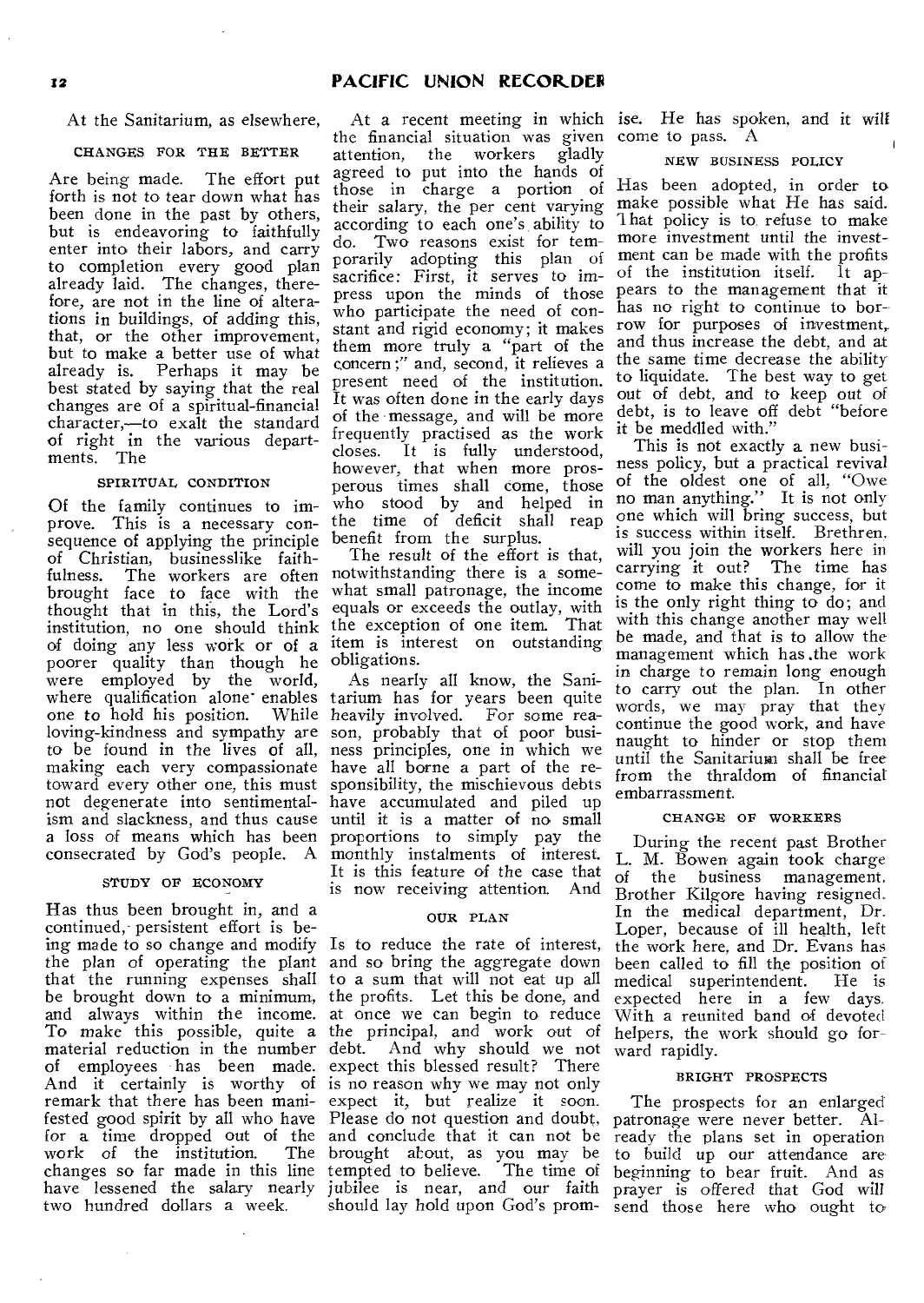# **12 PACIFIC UNION RECORDER**

At the Sanitarium, as elsewhere,

#### CHANGES FOR THE BETTER

Are being made. The effort put forth is not to tear down what has been done in the past by others, but is endeavoring to faithfully enter into their labors, and carry to completion every good plan already laid. The changes, therefore, are not in the line of alterations in buildings, of adding this, that, or the other improvement, but to make a better use of what already is. Perhaps it may be best stated by saying that the real changes are of a spiritual-financial character,—to exalt the standard of right in the various departments. The

#### SPIRITUAL CONDITION

Of the family continues to improve. This is a necessary consequence of applying the principle of Christian, businesslike faithfulness. The workers are often brought face to face with the thought that in this, the Lord's institution, no one should think the exception of one item. That of doing any less work or of a item is interest on outstanding poorer quality than though he obligations. were employed by the world, where qualification alone' enables one to hold his position. While heavily involved. For some realoving-kindness and sympathy are son, probably that of poor busito be found in the lives of all, ness principles, one in which we making each very compassionate have all borne a part of the retoward every other one, this must sponsibility, the mischievous debts not degenerate into sentimentalism and slackness, and thus cause a loss of means which has been proportions to simply pay the

# STUDY OF ECONOMY

Has thus been brought in, and a continued, persistent effort is being made to so change and modify Is to reduce the rate of interest, of employees has been made. And it certainly is worthy of work of the institution. two hundred dollars a week.

the financial situation was given come to pass. A attention, the workers gladly agreed to put into the hands of those in charge a portion of their salary, the per cent varying according to each one's ability to do. Two reasons exist for temporarily adopting this plan of sacrifice: First, it serves to impress upon the minds of those who participate the need of constant and rigid economy; it makes them more truly a "part of the concern ;" and, second, it relieves a present need of the institution. It was often done in the early days of the message, and will be more frequently practised as the work closes. It is fully understood, however, that when more prosperous times shall come, those who stood by and helped in the time of deficit shall reap benefit from the surplus.

The result of the effort is that, notwithstanding there is a somewhat small patronage, the income equals or exceeds the outlay, with

consecrated by God's people. A monthly instalments of interest. As nearly all know, the Sanitarium has for years been quite have accumulated and piled up until it is a matter of no small It *is* this feature of the case that is now receiving attention. And

#### OUR PLAN

the plan of operating the plant and so bring the aggregate down that the running expenses shall to a sum that will not eat up all be brought down to a minimum, the profits. Let this be done, and and always within the income. at once we can begin to reduce To make this possible, quite a the principal, and work out of material reduction in the number debt. And why should we not remark that there has been mani- expect it, but realize it soon. fested good spirit by all who have Please do not question and doubt, patronage were never better. Alfor a time dropped out of the and conclude that it can not be ready the plans set in operation changes so far made in this line tempted to believe. The time of beginning to bear fruit. And as have lessened the salary nearly jubilee is near, and our faith prayer is offered that God will expect this blessed result? There is no reason why we may not only

At a recent meeting in which ise. He has spoken, and it will

# NEW BUSINESS POLICY

Has been adopted, in order to make possible what He has said. That policy is to refuse to make more investment until the investment can be made with the profits of the institution itself. It appears to the management that it has no right to continue to borrow for purposes of investment, and thus increase the debt, and at the same time decrease the ability to liquidate. The best way to get out of debt, and to keep out of debt, is to leave off debt "before it be meddled with."

This is not exactly a new business policy, but a practical revival of the oldest one of all, "Owe no man anything." It is not only one which will bring success, but is success within itself. Brethren, will you join the workers here in carrying it out? The time has come to make this change, for it is the only right thing to do; and with this change another may well be made, and that is to allow the management which has ;the work in charge to remain *long* enough to carry out the plan. In other words, we may pray that they continue the good work, and have naught to hinder or stop them until the Sanitarium shall be free from the thraldom of financial embarrassment.

#### CHANGE OF WORKERS

During the recent past Brother L. M. Bowen again took charge of the business management, Brother Kilgore having resigned. In the medical department, Dr. Loper, because of ill health, left the work here, and Dr. Evans has been called to fill the position of medical superintendent. He is expected here in a few days. With a reunited band of devoted helpers, the work should go forward rapidly.

#### BRIGHT PROSPECTS

brought alout, as you may be to build up our attendance are should lay hold upon God's prom-send those here who ought to The prospects for an enlarged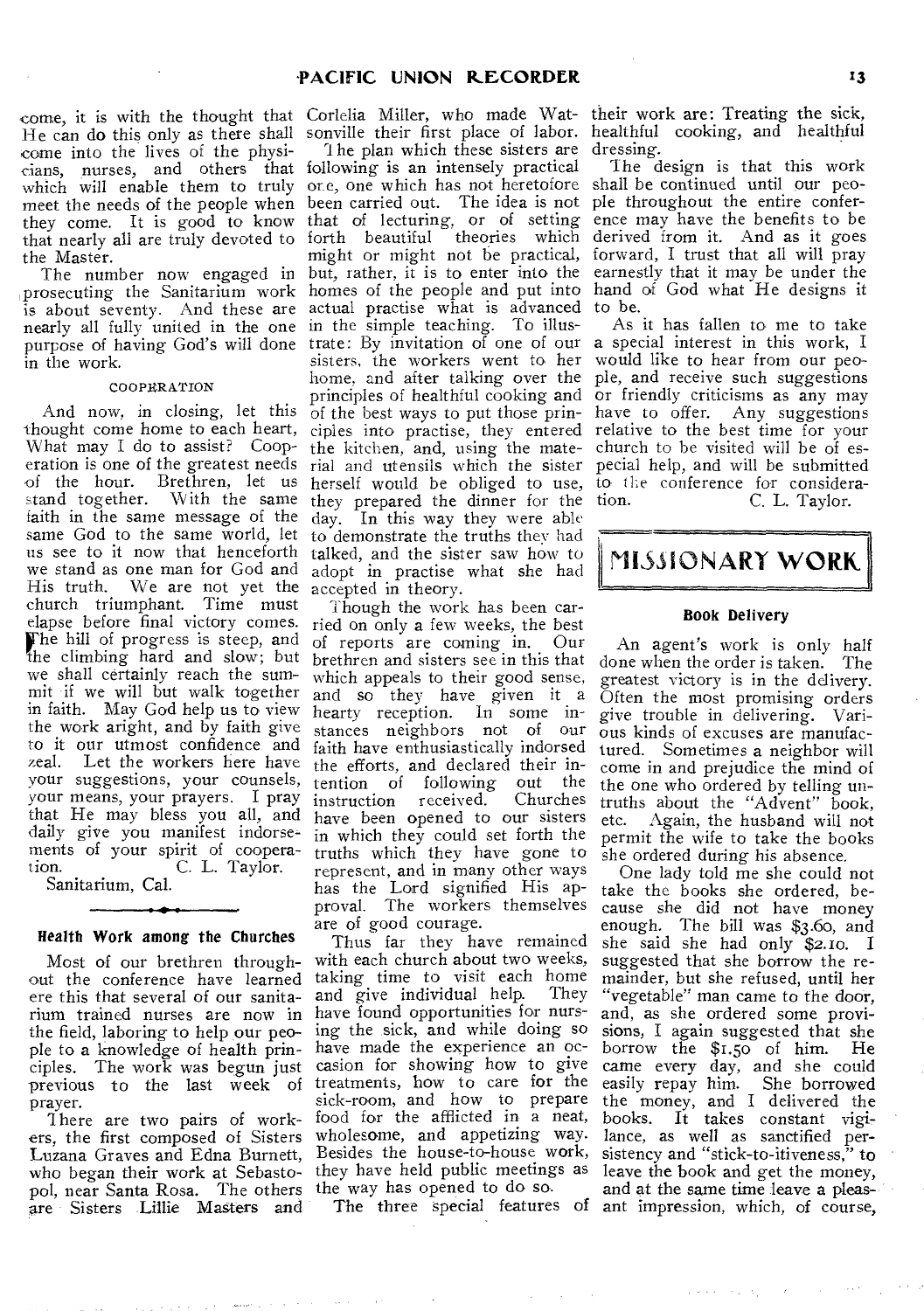He can do this only as there shall sonville their first place of labor. come into the lives of the physicians, nurses, and others that following is an intensely practical which will enable them to truly ore, one which has not heretofore meet the needs of the people when been carried out. The idea is not they come. It is good to know that of lecturing, or of setting that nearly all are truly devoted to forth beautiful theories which the Master.

prosecuting the Sanitarium work is about seventy. And these are nearly all fully united in the one in the simple teaching. To illuspurpose of having God's will done trate: By invitation of one of our in the work.

#### **COOPERATION**

And now, in closing, let this thought come home to each heart, What may I do to assist? Cooperation is one of the greatest needs<br>of the hour. Brethren, let us Brethren, let us stand together. With the same faith in the same message of the same God to the same world, let us see to it now that henceforth we stand as one man for God and<br>His truth. We are not yet the We are not yet the church triumphant. Time must elapse before final victory comes. the climbing hard and slow; but The hill of progress is steep, and we shall certainly reach the summit if we will but walk together in faith. May God help us to view the work aright, and by faith give to it our utmost confidence and<br>zeal. Let the workers here have Let the workers here have your suggestions, your counsels, your means, your prayers. I pray that He may bless you all, and daily give you manifest indorsements of your spirit of coopera-<br>tion. C. L. Taylor. C. L. Taylor.

Sanitarium, Cal.

# Health Work among the Churches

Most of our brethren throughout the conference have learned ere this that several of our sanitarium trained nurses are now in the field, laboring to help our people to a knowledge of health principles. The work was begun just previous to the last week of prayer.

Ihere are two pairs of workers, the first composed of Sisters Luzana Graves and Edna Burnett, who began their work at Sebasto- they have held public meetings as pol, near Santa Rosa. The others the way has opened to do so. are Sisters Lillie Masters and

The number now engaged in but, rather, it is to enter into the 'I he plan which these sisters are might or might not be practical, actual practise what is advanced to be. sisters, the workers went to her home, and after talking over the principles of healthful cooking and of the best ways to put those printhe kitchen, and, using the material and utensils which the sister herself would be obliged to use, to the conference for considerathey prepared the dinner for the tion. day. In this way they were able to demonstrate the truths they had talked, and the sister saw how to adopt in practise what she had accepted in theory.

> Though the work has been carried on only a few weeks, the best<br>of reports are coming in. Our of reports are coming in. brethren and sisters see in this that which appeals to their good sense, and so they have given it a hearty reception. In some instances neighbors not of our faith have enthusiastically indorsed the efforts, and declared their in-<br>tention of following out the tention of following out the<br>instruction received. Churches instruction received. have been opened to our sisters in which they could set forth the truths which they have gone to represent, and in many other ways has the Lord signified His approval. The workers themselves are of good courage.

Thus far they have remained with each church about two weeks, taking time to visit each home and give individual help. They have found opportunities for nursing the sick, and while doing so have made the experience an occasion for showing how to give treatments, how to care for the sick-room, and how to prepare food for the afflicted in a neat, wholesome, and appetizing way. Besides the house-to-house work,

come, it is with the thought that Corlelia Miller, who made Wat- their work are: Treating the sick, healthful cooking, and healthful dressing.

homes of the people and put into hand of God what He designs it The design is that this work shall be continued until our people throughout the entire conference may have the benefits to be derived from it. And as it goes forward, I trust that all will pray earnestly that it may be under the

ciples into practise, they entered relative to the best time for your As it has fallen to me to take a special interest in this work, I would like to hear from our people, and receive such suggestions or friendly criticisms as any may have to offer. Any suggestions church to be visited will be of especial help, and will be submitted C. L. Taylor.



#### Book Delivery

An agent's work is only half done when the order is taken. The greatest victory is in the delivery. Often the most promising orders *give* trouble in delivering. Various kinds of excuses are manufactured. Sometimes a neighbor will come in and prejudice the mind of the one who ordered by telling untruths about the "Advent" book,<br>etc. Again, the husband will not Again, the husband will not permit the wife to take the books she ordered during his absence.

The three special features of ant impression, which, of course, One lady told me she could not take the books she ordered, because she did not have money enough. The bill was \$3.6o, and she said she had only \$2.10. I suggested that she borrow the remainder, but she refused, until her "vegetable" man came to the door, and, as she ordered some provisions, I again suggested that she borrow the \$1.50 of him. He came every day, and she could easily repay him. She borrowed the money, and I delivered the books. It takes constant vigilance, as well as sanctified persistency and "stick-to-itiveness," to leave the book and get the money, and at the same time leave a pleas-

country of the control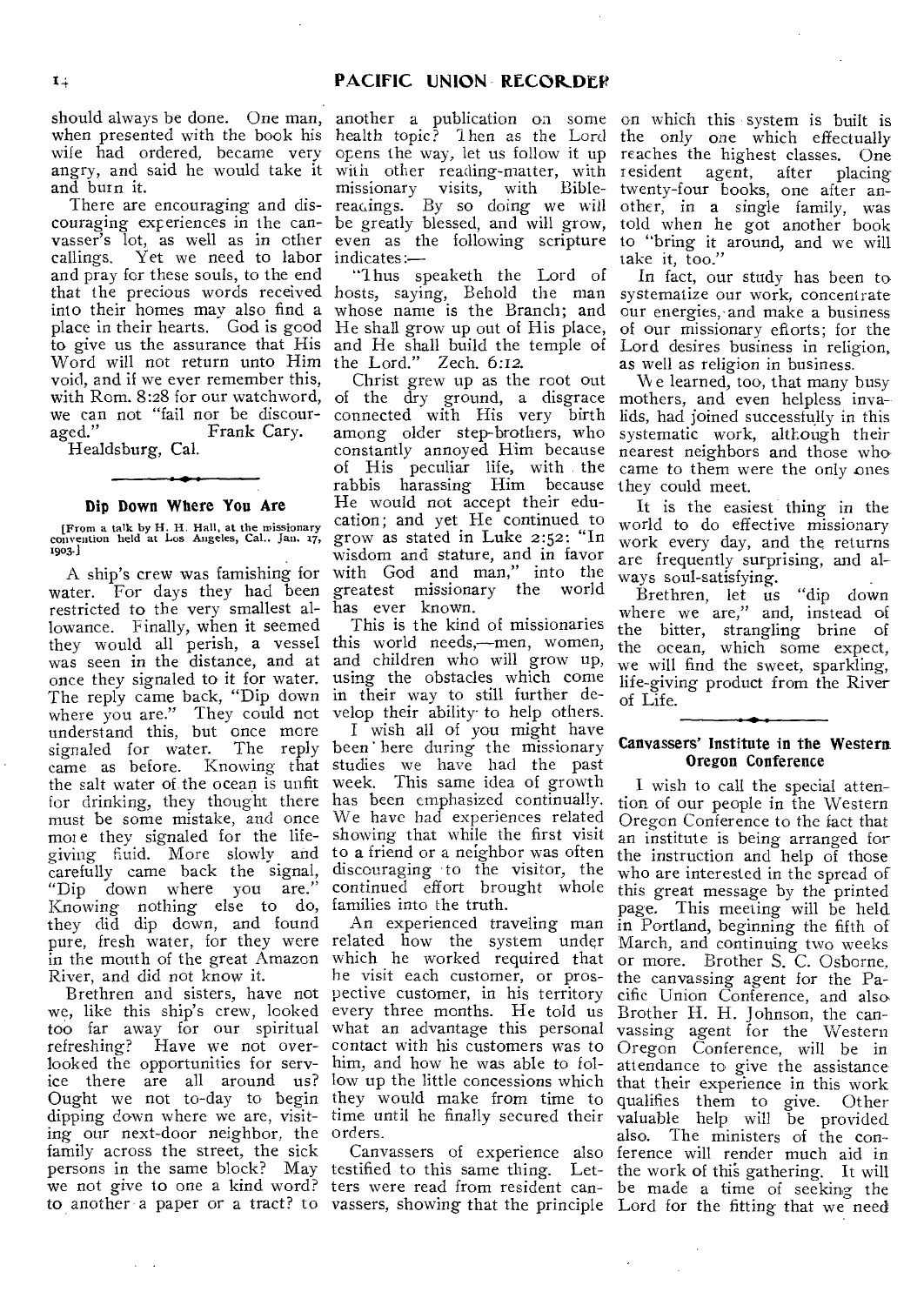should always be done. One man, when presented with the book his wife had ordered, became very angry, and said he would take it and burn it.

There are encouraging and discouraging experiences in the canvasser's lot, as well as in other<br>callings. Yet we need to labor Yet we need to labor and pray for these souls, to the end that the precious words received hosts, saying, Behold the man into their homes may also find a place in their hearts. God is good to give us the assurance that His Word will not return unto Him the Lord." Zech. 6:12. void, and if we ever remember this, with Rom. 8:28 for our watchword, we can not "fail nor be discour-<br>aged." Frank Cary. Frank Cary.

Healdsburg, Cal.

# Dip Down Where You Are

[From a talk by H. H. Hall, at the missionary convention held at Los Angeles, Cal.. Jan. 17, 1903.1

A ship's crew was famishing for water. For days they had been restricted to the very smallest allowance. Finally, when it seemed they would all perish, a vessel this world needs,—men, women, was seen in the distance, and at once they signaled to it for water. The reply came back, "Dip down where you are." They could not understand this, but once more<br>signaled for water. The reply signaled for water. came as before. Knowing that the salt water of the ocean is unfit for drinking, they thought there must be some mistake, and once more they signaled for the lifegiving fluid. More slowly and carefully came back the signal, "Dip down where you are." Knowing nothing else to do, families into the truth. they did dip down, and found pure, fresh water, for they were related how the system under in the mouth of the great Amazon which he worked required that River, and did not know it.

we, like this ship's crew, looked every three months. He told us too far away for our spiritual what an advantage this personal refreshing? Have we not over-contact with his customers was to looked the opportunities for serv-him, and how he was able to fol-Ought we not to-day to begin they would make from time to dipping down where we are, visit-time until he finally secured their ing our next-door neighbor, the orders. family across the street, the sick persons in the same block? May testified to this same thing. Let- the work of this gathering. It will we not give to one a kind word? ters were read from resident can-be made a time of seeking the

 $\mathbf{r}$ 

another a publication on some on which this system is built is health topic? Then as the Lord the only one which effectually opens the way, let us follow it up reaches the highest classes. One with other reading-matter, with missionary visits, with Biblereadings. By so doing we will be greatly blessed, and will grow, even as the following scripture to "bring it around, and we will indicates :—

"Thus speaketh the Lord of whose name is the Branch; and He shall grow up out of His place, and He shall build the temple of

Christ grew up as the root out of the dry ground, a disgrace connected with His very birth among older step-brothers, who constantly annoyed Him because of His peculiar life, with the rabbis harassing Him because He would not accept their education; and yet He continued to grow as stated in Luke 2:52: "In wisdom and stature, and in favor with God and man," into the greatest missionary the world has ever known.

This is the kind of missionaries and children who will grow up, using the obstacles which come in their way to still further develop their ability- to help others.

I wish all of you might have been' here during the missionary studies we have had the past week. This same idea of growth has been emphasized continually. We have had experiences related showing that while the first visit to a friend or a neighbor was often discouraging to the visitor, the continued effort brought whole

Brethren and sisters, have not pective customer, in his territory ice there are all around us? low up the little concessions which that their experience in this work An experienced traveling man he visit each customer, or pros-

resident agent, after placing twenty-four books, one after another, in a single family, was told when he got another book take it, too."

In fact, our study has been to systematize our work, concentrate our energies, and make a business of our missionary efforts; for the Lord desires business in religion, as well as religion in business.

We learned, too, that many busy mothers, and even helpless invalids, had joined successfully in this systematic work, although their nearest neighbors and those who came to them were the only ones they could meet.

It is the easiest thing in the world to do effective missionary work every day, and the returns are frequently surprising, and always soul-satisfying.

Brethren, let us "dip down where we are," and, instead of the bitter, strangling brine of the ocean, which some expect, we will find the sweet, sparkling, life-giving product from the River of Life.

# Canvassers' Institute in the Western Oregon Conference

to another a paper or a tract? to vassers, showing that the principle Lord for the fitting that we need Canvassers of experience also ference will render much aid in I wish to call the special attention of our people in the Western Oregon Conference to the fact that an institute is being arranged for the instruction and help of those who are interested in the spread of this great message by the printed page. This meeting will be held. in Portland, beginning the fifth of March, and continuing two weeks or more. Brother S. C. Osborne, the canvassing agent for the Pacific Union Conference, and also Brother H. H. Johnson, the canvassing agent for the Western Oregon Conference, will be in attendance to give the assistance qualifies them to give. Other valuable help will be provided also. The ministers of the con-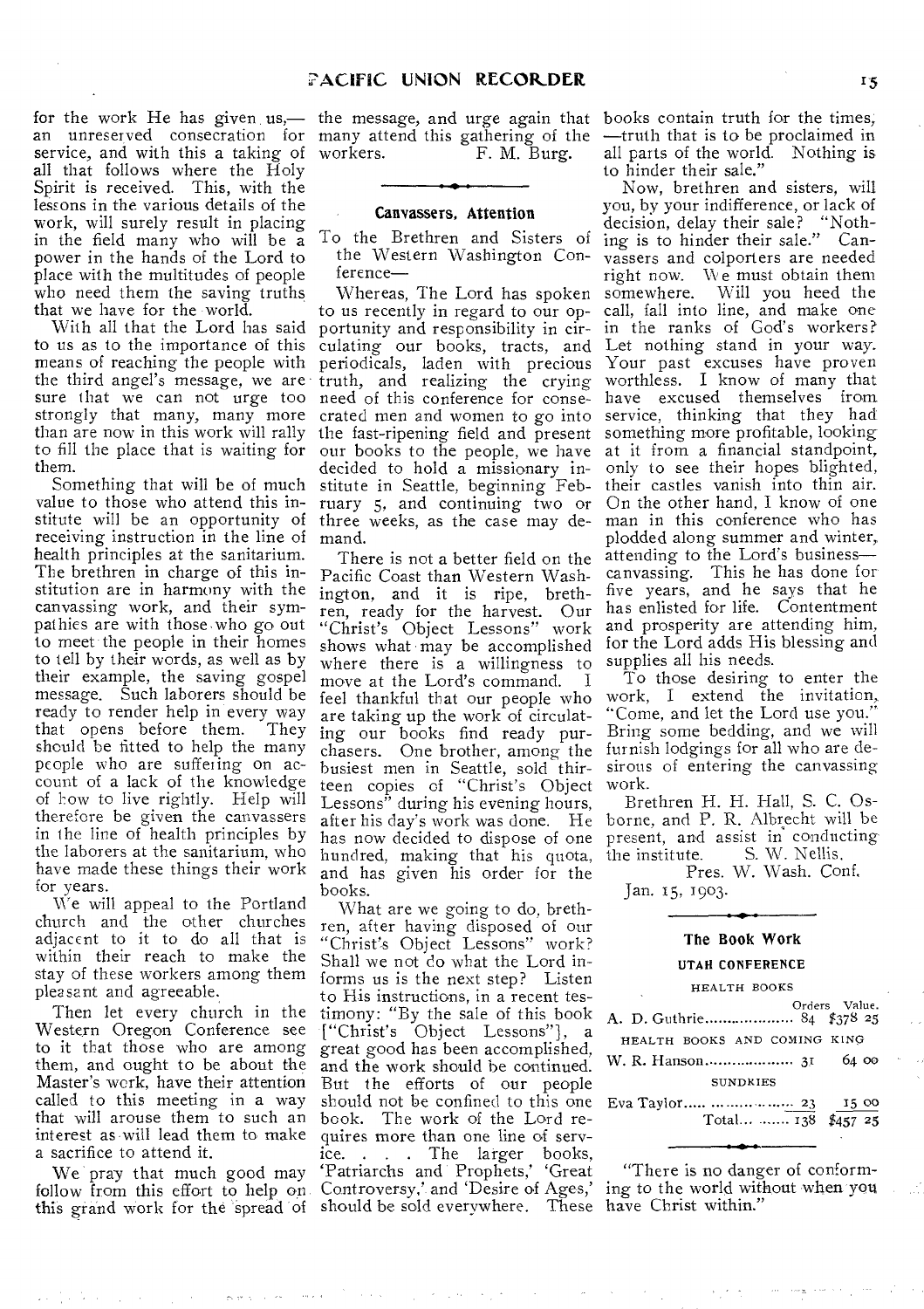for the work He has given us,- the message, and urge again that books contain truth for the times, an unreserved consecration for many attend this gathering of the service, and with this a taking of workers. all that follows where the Holy Spirit is received. This, with the lessons in the various details of the work, will surely result in placing in the field many who will be a power in the hands of the Lord to place with the multitudes of people who need them the saving truths that we have for the world.

With all that the Lord has said to us as to the importance of this means of reaching the people with the third angel's message, we are sure that we can not urge too strongly that many, many more than are now in this work will rally to fill the place that is waiting for them.

Something that will be of much value to those who attend this institute will be an opportunity of receiving instruction in the line of health principles at the sanitarium. The brethren in charge of this institution are in harmony with the canvassing work, and their sympathies are with those•who go out to meet the people in their homes to tell by their words, as well as by their example, the saving gospel message. Such laborers should be ready to render help in every way that opens before them. They should be fitted to help the many people who are suffering on account of a lack of the knowledge of how to live rightly. Help will therefore be given the canvassers in the line of health principles by the laborers at the sanitarium, who have made these things their work for years.

We will appeal to the Portland church and the other churches adjacent to it to do all that is within their reach to make the stay of these workers among them pleasant and agreeable.

Then let every church in the Western Oregon Conference see to it that those who are among them, and ought to be about the Master's work, have their attention called to this meeting in a way that will arouse them to such an interest as -will lead them to make a sacrifice to attend it.

We pray that much good may this grand work for the spread of should be sold everywhere. These have Christ within."

Kend of the

F. M. Burg.

#### Canvassers, Attention

To the Brethren and Sisters of the Western Washington Conference—

Whereas, The Lord has spoken to us recently in regard to our opportunity and responsibility in circulating our books, tracts, and periodicals, laden with precious truth, and realizing the crying need of this conference for consecrated men and women to go into the fast-ripening field and present our books to the people, we have decided to hold a missionary institute in Seattle, beginning February 5, and continuing two or three weeks, as the case may demand.

There is not a better field on the Pacific Coast than Western Washington, and it is ripe, brethren, ready for the harvest. Our "Christ's Object Lessons" work shows what may be accomplished where there is a willingness to move at the Lord's command. feel thankful that our people who are taking up the work of circulating our books find ready purchasers. One brother, among the busiest men in Seattle, sold thirteen copies of "Christ's Object Lessons" during his evening hours, after his day's work was done. He has now decided to dispose of one hundred, making that his quota, and has given his order for the books.

follow from this effort to help on Controversy, and Desire of Ages,' ing to the world without when you What are we going to do, brethren, after having disposed of our "Christ's Object Lessons" work? Shall we not do what the Lord informs us is the next step? Listen to His instructions, in a recent testimony: "By the sale of this book ["Christ's Object Lessons"], a great good has been accomplished, and the work should be continued. But the efforts of our people should not be confined to this one book. The work of the Lord requires more than one line of service. . . . The larger books, `Patriarchs and Prophets,' Great

—truth that is to be proclaimed in all parts of the world. Nothing is to hinder their sale."

Now, brethren and sisters, will you, by your indifference, or lack of decision, delay their sale? "Nothing is to hinder their sale." Canvassers and colporters are needed right now. We must obtain them somewhere. Will you heed the call, fall into line, and make one in the ranks of God's workers? Let nothing stand in your way. Your past excuses have proven worthless. I know of many that have excused themselves from service, thinking that they had something more profitable, looking at it from a financial standpoint, only to see their hopes blighted, their castles vanish into thin air. On the other hand, I know of one man in this conference who has plodded along summer and winter, attending to the Lord's business canvassing. This he has done for five years, and he says that he has enlisted for life. Contentment and prosperity are attending him, for the Lord adds His blessing and supplies all his needs.

To those desiring to enter the work, I extend the invitation, "Come, and let the Lord use you." Bring some bedding, and we will furnish lodgings for all who are desirous of entering the canvassing work.

Brethren H. H. Hall, S. C. Osborne, and P. R. Albrecht will be present, and assist in conducting<br>the institute. S. W. Nellis, S. W. Nellis,

Pres. W. Wash. Conf,

Jan. 15, 1903.

# The Book Work

#### UTAH CONFERENCE

| HEALTH BOOKS                               |
|--------------------------------------------|
| Orders Value.<br>A. D. Guthrie 84 \$378 25 |
| HEALTH BOOKS AND COMING KING               |
| 64.00                                      |
| <b>SUNDRIES</b>                            |
| 15 00<br>Total  138 $$457$ 25              |

"There is no danger of conform-